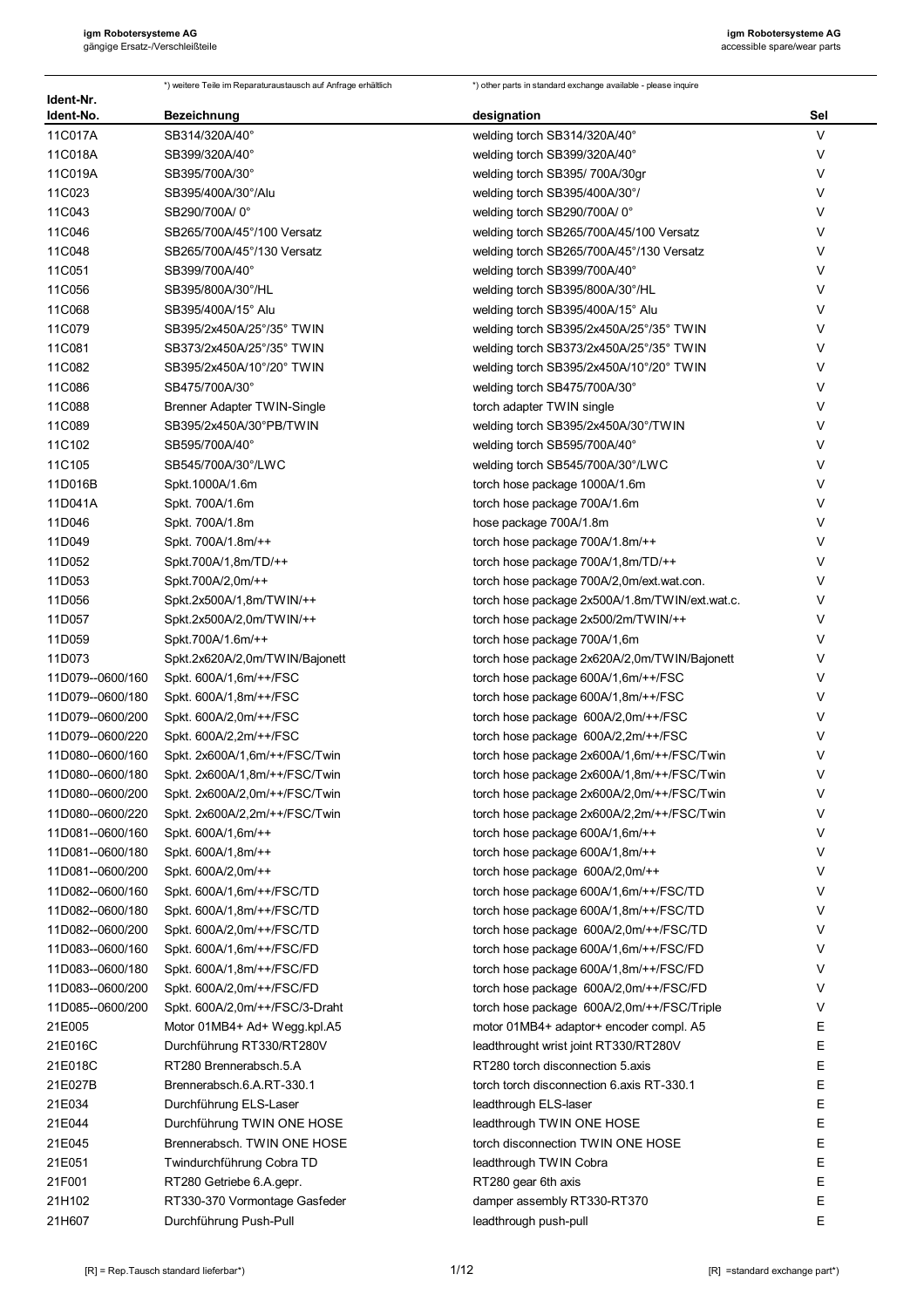|                                      | *) weitere Teile im Reparaturaustausch auf Anfrage erhältlich | *) other parts in standard exchange available - please inquire                   |        |
|--------------------------------------|---------------------------------------------------------------|----------------------------------------------------------------------------------|--------|
| Ident-Nr.<br>Ident-No.               | Bezeichnung                                                   | designation                                                                      | Sel    |
| 11C017A                              | SB314/320A/40°                                                | welding torch SB314/320A/40°                                                     | V      |
| 11C018A                              | SB399/320A/40°                                                | welding torch SB399/320A/40°                                                     | V      |
| 11C019A                              | SB395/700A/30°                                                | welding torch SB395/700A/30gr                                                    | V      |
| 11C023                               | SB395/400A/30°/Alu                                            | welding torch SB395/400A/30°/                                                    | V      |
| 11C043                               | SB290/700A/0°                                                 | welding torch SB290/700A/0°                                                      | V      |
| 11C046                               | SB265/700A/45°/100 Versatz                                    | welding torch SB265/700A/45/100 Versatz                                          | V      |
| 11C048                               | SB265/700A/45°/130 Versatz                                    | welding torch SB265/700A/45°/130 Versatz                                         | V      |
| 11C051                               | SB399/700A/40°                                                | welding torch SB399/700A/40°                                                     | V      |
| 11C056                               | SB395/800A/30°/HL                                             | welding torch SB395/800A/30°/HL                                                  | V      |
| 11C068                               | SB395/400A/15° Alu                                            | welding torch SB395/400A/15° Alu                                                 | V      |
| 11C079                               | SB395/2x450A/25°/35° TWIN                                     | welding torch SB395/2x450A/25°/35° TWIN                                          | V      |
| 11C081                               | SB373/2x450A/25°/35° TWIN                                     | welding torch SB373/2x450A/25°/35° TWIN                                          | V      |
| 11C082                               | SB395/2x450A/10°/20° TWIN                                     | welding torch SB395/2x450A/10°/20° TWIN                                          | V      |
| 11C086                               | SB475/700A/30°                                                | welding torch SB475/700A/30°                                                     | V      |
| 11C088                               | Brenner Adapter TWIN-Single                                   | torch adapter TWIN single                                                        | V      |
| 11C089                               | SB395/2x450A/30°PB/TWIN                                       | welding torch SB395/2x450A/30°/TWIN                                              | V      |
| 11C102                               | SB595/700A/40°                                                | welding torch SB595/700A/40°                                                     | V      |
| 11C105                               | SB545/700A/30°/LWC                                            | welding torch SB545/700A/30°/LWC                                                 | V      |
| 11D016B                              | Spkt.1000A/1.6m                                               | torch hose package 1000A/1.6m                                                    | V      |
| 11D041A                              | Spkt. 700A/1.6m                                               | torch hose package 700A/1.6m                                                     | $\vee$ |
| 11D046                               | Spkt. 700A/1.8m                                               | hose package 700A/1.8m                                                           | V      |
| 11D049                               | Spkt. 700A/1.8m/++                                            | torch hose package 700A/1.8m/++                                                  | $\vee$ |
| 11D052                               | Spkt.700A/1,8m/TD/++                                          | torch hose package 700A/1,8m/TD/++                                               | V      |
| 11D053                               | Spkt.700A/2,0m/++                                             | torch hose package 700A/2,0m/ext.wat.con.                                        | V      |
| 11D056                               | Spkt.2x500A/1,8m/TWIN/++                                      | torch hose package 2x500A/1.8m/TWIN/ext.wat.c.                                   | V      |
| 11D057                               | Spkt.2x500A/2,0m/TWIN/++                                      | torch hose package 2x500/2m/TWIN/++                                              | $\vee$ |
| 11D059                               | Spkt.700A/1.6m/++                                             | torch hose package 700A/1,6m                                                     | V      |
| 11D073                               | Spkt.2x620A/2,0m/TWIN/Bajonett                                | torch hose package 2x620A/2,0m/TWIN/Bajonett                                     | V      |
| 11D079--0600/160                     | Spkt. 600A/1,6m/++/FSC                                        | torch hose package 600A/1,6m/++/FSC                                              | V      |
| 11D079--0600/180                     | Spkt. 600A/1,8m/++/FSC                                        | torch hose package 600A/1,8m/++/FSC                                              | V      |
| 11D079--0600/200                     | Spkt. 600A/2,0m/++/FSC                                        | torch hose package 600A/2,0m/++/FSC                                              | V      |
| 11D079--0600/220                     | Spkt. 600A/2,2m/++/FSC                                        | torch hose package 600A/2,2m/++/FSC                                              | V      |
| 11D080--0600/160                     | Spkt. 2x600A/1,6m/++/FSC/Twin                                 | torch hose package 2x600A/1,6m/++/FSC/Twin                                       | V      |
| 11D080--0600/180                     | Spkt. 2x600A/1,8m/++/FSC/Twin                                 | torch hose package 2x600A/1,8m/++/FSC/Twin                                       | V      |
| 11D080--0600/200                     | Spkt. 2x600A/2,0m/++/FSC/Twin                                 | torch hose package 2x600A/2,0m/++/FSC/Twin                                       | V      |
| 11D080--0600/220                     | Spkt. 2x600A/2,2m/++/FSC/Twin                                 | torch hose package 2x600A/2,2m/++/FSC/Twin                                       | V      |
| 11D081--0600/160                     | Spkt. 600A/1,6m/++                                            | torch hose package 600A/1,6m/++                                                  | V      |
| 11D081--0600/180                     | Spkt. 600A/1,8m/++                                            | torch hose package 600A/1,8m/++                                                  | V      |
| 11D081--0600/200                     | Spkt. 600A/2,0m/++                                            | torch hose package 600A/2,0m/++                                                  | V      |
| 11D082--0600/160<br>11D082--0600/180 | Spkt. 600A/1,6m/++/FSC/TD<br>Spkt. 600A/1,8m/++/FSC/TD        | torch hose package 600A/1,6m/++/FSC/TD                                           | V<br>V |
|                                      | Spkt. 600A/2,0m/++/FSC/TD                                     | torch hose package 600A/1,8m/++/FSC/TD<br>torch hose package 600A/2,0m/++/FSC/TD | V      |
| 11D082--0600/200<br>11D083--0600/160 | Spkt. 600A/1,6m/++/FSC/FD                                     | torch hose package 600A/1,6m/++/FSC/FD                                           | V      |
| 11D083--0600/180                     | Spkt. 600A/1,8m/++/FSC/FD                                     | torch hose package 600A/1,8m/++/FSC/FD                                           | V      |
| 11D083--0600/200                     | Spkt. 600A/2,0m/++/FSC/FD                                     | torch hose package 600A/2,0m/++/FSC/FD                                           | V      |
| 11D085--0600/200                     | Spkt. 600A/2,0m/++/FSC/3-Draht                                | torch hose package 600A/2,0m/++/FSC/Triple                                       | V      |
| 21E005                               | Motor 01MB4+ Ad+ Wegg.kpl.A5                                  | motor 01MB4+ adaptor+ encoder compl. A5                                          | Ε      |
| 21E016C                              | Durchführung RT330/RT280V                                     | leadthrought wrist joint RT330/RT280V                                            | Ε      |
| 21E018C                              | RT280 Brennerabsch.5.A                                        | RT280 torch disconnection 5.axis                                                 | Ε      |
| 21E027B                              | Brennerabsch.6.A.RT-330.1                                     | torch torch disconnection 6 axis RT-330.1                                        | Ε      |
| 21E034                               | Durchführung ELS-Laser                                        | leadthrough ELS-laser                                                            | Ε      |
| 21E044                               | Durchführung TWIN ONE HOSE                                    | leadthrough TWIN ONE HOSE                                                        | Е      |
| 21E045                               | Brennerabsch. TWIN ONE HOSE                                   | torch disconnection TWIN ONE HOSE                                                | Ε      |
| 21E051                               | Twindurchführung Cobra TD                                     | leadthrough TWIN Cobra                                                           | Ε      |
| 21F001                               | RT280 Getriebe 6.A.gepr.                                      | RT280 gear 6th axis                                                              | Ε      |
| 21H102                               | RT330-370 Vormontage Gasfeder                                 | damper assembly RT330-RT370                                                      | Ε      |
| 21H607                               | Durchführung Push-Pull                                        | leadthrough push-pull                                                            | Ε      |
|                                      |                                                               |                                                                                  |        |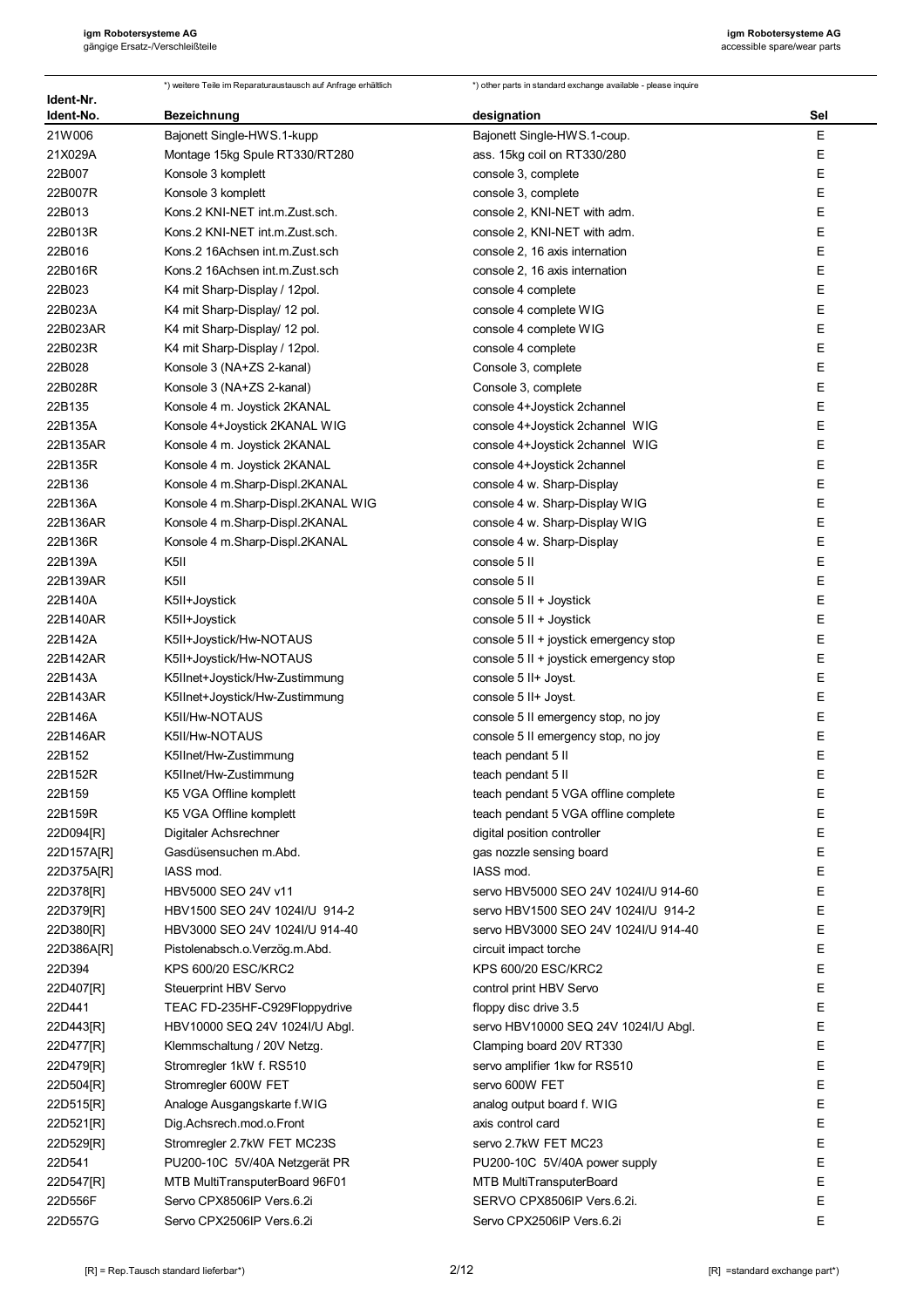| Ident-Nr.         | *) weitere Teile im Reparaturaustausch auf Anfrage erhältlich | *) other parts in standard exchange available - please inquire      |        |
|-------------------|---------------------------------------------------------------|---------------------------------------------------------------------|--------|
| Ident-No.         | Bezeichnung                                                   | designation                                                         | Sel    |
| 21W006            | Bajonett Single-HWS.1-kupp                                    | Bajonett Single-HWS.1-coup.                                         | E      |
| 21X029A           | Montage 15kg Spule RT330/RT280                                | ass. 15kg coil on RT330/280                                         | Ε      |
| 22B007            | Konsole 3 komplett                                            | console 3, complete                                                 | Ε      |
| 22B007R           | Konsole 3 komplett                                            | console 3, complete                                                 | Ε      |
| 22B013            | Kons.2 KNI-NET int.m.Zust.sch.                                | console 2, KNI-NET with adm.                                        | Ε      |
| 22B013R           | Kons.2 KNI-NET int.m.Zust.sch.                                | console 2, KNI-NET with adm.                                        | Ε      |
| 22B016            | Kons.2 16Achsen int.m.Zust.sch                                | console 2, 16 axis internation                                      | E      |
| 22B016R           | Kons.2 16Achsen int.m.Zust.sch                                | console 2, 16 axis internation                                      | E      |
| 22B023            | K4 mit Sharp-Display / 12pol.                                 | console 4 complete                                                  | E      |
| 22B023A           | K4 mit Sharp-Display/ 12 pol.                                 | console 4 complete WIG                                              | E      |
| 22B023AR          | K4 mit Sharp-Display/ 12 pol.                                 | console 4 complete WIG                                              | E      |
| 22B023R           | K4 mit Sharp-Display / 12pol.                                 | console 4 complete                                                  | Ε      |
| 22B028            | Konsole 3 (NA+ZS 2-kanal)                                     | Console 3, complete                                                 | E      |
| 22B028R           | Konsole 3 (NA+ZS 2-kanal)                                     | Console 3, complete                                                 | E      |
| 22B135            | Konsole 4 m. Joystick 2KANAL                                  | console 4+Joystick 2channel                                         | Ε      |
| 22B135A           | Konsole 4+Joystick 2KANAL WIG                                 | console 4+Joystick 2channel WIG                                     | E      |
| 22B135AR          | Konsole 4 m. Joystick 2KANAL                                  | console 4+Joystick 2channel WIG                                     | Ε      |
| 22B135R           | Konsole 4 m. Joystick 2KANAL                                  | console 4+Joystick 2channel                                         | Ε      |
| 22B136            | Konsole 4 m.Sharp-Displ.2KANAL                                | console 4 w. Sharp-Display                                          | E      |
| 22B136A           | Konsole 4 m.Sharp-Displ.2KANAL WIG                            | console 4 w. Sharp-Display WIG                                      | E      |
| 22B136AR          | Konsole 4 m.Sharp-Displ.2KANAL                                | console 4 w. Sharp-Display WIG                                      | E      |
| 22B136R           | Konsole 4 m.Sharp-Displ.2KANAL                                | console 4 w. Sharp-Display                                          | E      |
| 22B139A           | K5II                                                          | console 5 II                                                        | E      |
| 22B139AR          | K5II                                                          | console 5 II                                                        | E      |
| 22B140A           | K5II+Joystick                                                 | console 5 II + Joystick                                             | E      |
| 22B140AR          | K5II+Joystick                                                 | console 5 II + Joystick                                             | E      |
| 22B142A           | K5II+Joystick/Hw-NOTAUS                                       | console 5 II + joystick emergency stop                              | Ε      |
| 22B142AR          | K5II+Joystick/Hw-NOTAUS                                       | console 5 II + joystick emergency stop                              | Ε      |
| 22B143A           | K5IInet+Joystick/Hw-Zustimmung                                | console 5 II+ Joyst.                                                | Ε      |
| 22B143AR          | K5IInet+Joystick/Hw-Zustimmung                                | console 5 II+ Joyst.                                                | Ε      |
| 22B146A           | K5II/Hw-NOTAUS                                                | console 5 II emergency stop, no joy                                 | Ε      |
| 22B146AR          | K5II/Hw-NOTAUS                                                | console 5 II emergency stop, no joy                                 | Ε      |
| 22B152            | K5IInet/Hw-Zustimmung                                         | teach pendant 5 II                                                  | E      |
| 22B152R           | K5IInet/Hw-Zustimmung                                         | teach pendant 5 II                                                  | ᄇ      |
| 22B159<br>22B159R | K5 VGA Offline komplett                                       | teach pendant 5 VGA offline complete                                | E<br>E |
| 22D094[R]         | K5 VGA Offline komplett<br>Digitaler Achsrechner              | teach pendant 5 VGA offline complete<br>digital position controller | Ε      |
| 22D157A[R]        | Gasdüsensuchen m.Abd.                                         | gas nozzle sensing board                                            | Е      |
| 22D375A[R]        | IASS mod.                                                     | IASS mod.                                                           | Ε      |
| 22D378[R]         | HBV5000 SEO 24V v11                                           | servo HBV5000 SEO 24V 1024I/U 914-60                                | Ε      |
| 22D379[R]         | HBV1500 SEO 24V 1024I/U 914-2                                 | servo HBV1500 SEO 24V 1024I/U 914-2                                 | Е      |
| 22D380[R]         | HBV3000 SEO 24V 1024I/U 914-40                                | servo HBV3000 SEO 24V 1024I/U 914-40                                | Е      |
| 22D386A[R]        | Pistolenabsch.o.Verzög.m.Abd.                                 | circuit impact torche                                               | Е      |
| 22D394            | KPS 600/20 ESC/KRC2                                           | KPS 600/20 ESC/KRC2                                                 | Е      |
| 22D407[R]         | Steuerprint HBV Servo                                         | control print HBV Servo                                             | E      |
| 22D441            | TEAC FD-235HF-C929Floppydrive                                 | floppy disc drive 3.5                                               | E      |
| 22D443[R]         | HBV10000 SEQ 24V 1024I/U Abgl.                                | servo HBV10000 SEQ 24V 1024I/U Abgl.                                | E      |
| 22D477[R]         | Klemmschaltung / 20V Netzg.                                   | Clamping board 20V RT330                                            | E      |
| 22D479[R]         | Stromregler 1kW f. RS510                                      | servo amplifier 1kw for RS510                                       | Ε      |
| 22D504[R]         | Stromregler 600W FET                                          | servo 600W FET                                                      | Е      |
| 22D515[R]         | Analoge Ausgangskarte f.WIG                                   | analog output board f. WIG                                          | E      |
| 22D521[R]         | Dig.Achsrech.mod.o.Front                                      | axis control card                                                   | Е      |
| 22D529[R]         | Stromregler 2.7kW FET MC23S                                   | servo 2.7kW FET MC23                                                | E      |
| 22D541            | PU200-10C 5V/40A Netzgerät PR                                 | PU200-10C 5V/40A power supply                                       | Ε      |
| 22D547[R]         | MTB MultiTransputerBoard 96F01                                | MTB MultiTransputerBoard                                            | E      |
| 22D556F           | Servo CPX8506IP Vers.6.2i                                     | SERVO CPX8506IP Vers.6.2i.                                          | Ε      |
| 22D557G           | Servo CPX2506IP Vers.6.2i                                     | Servo CPX2506IP Vers.6.2i                                           | E      |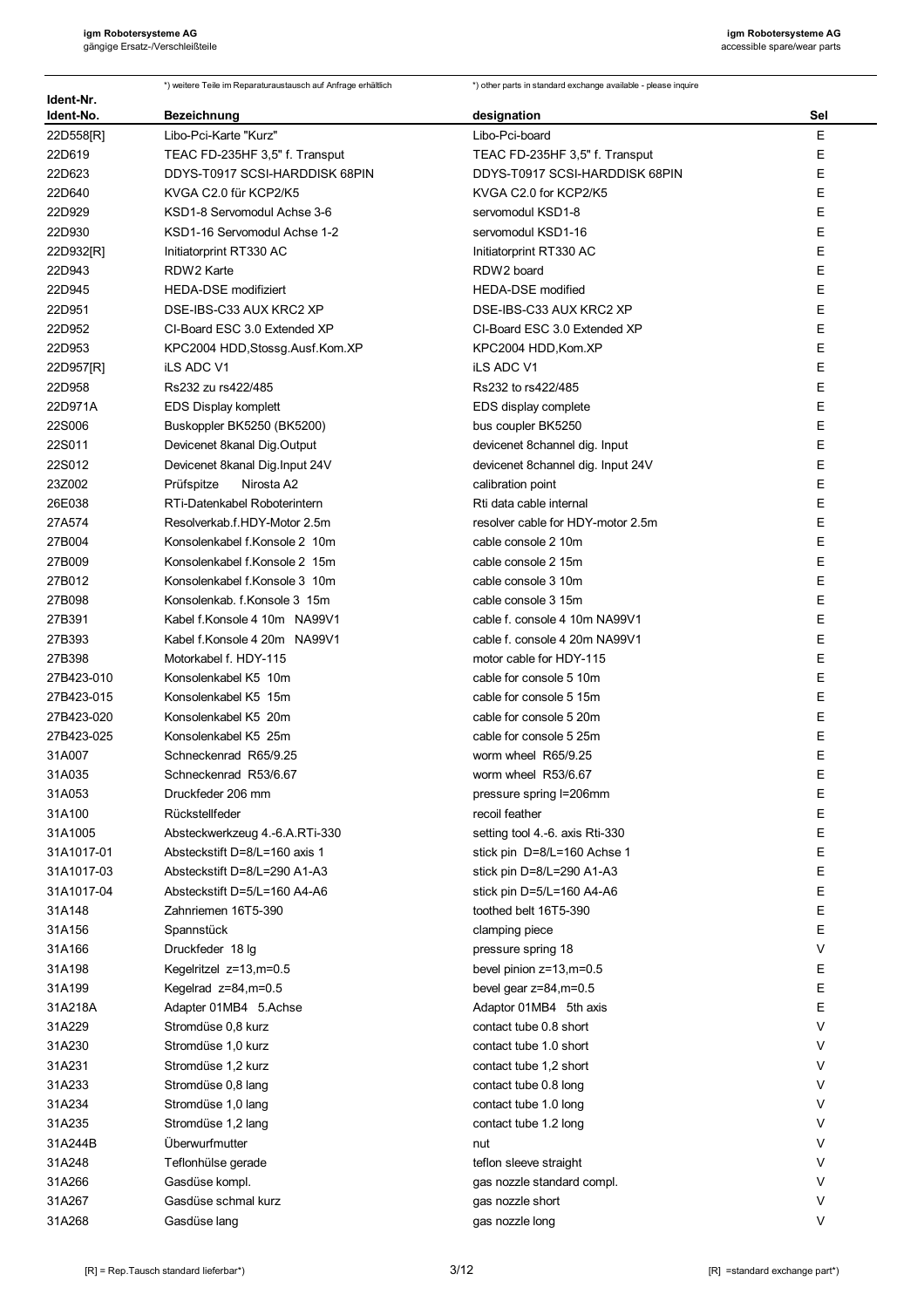| Ident-Nr.     | *) weitere Teile im Reparaturaustausch auf Anfrage erhältlich | *) other parts in standard exchange available - please inquire |     |
|---------------|---------------------------------------------------------------|----------------------------------------------------------------|-----|
| Ident-No.     | <b>Bezeichnung</b>                                            | designation                                                    | Sel |
| 22D558[R]     | Libo-Pci-Karte "Kurz"                                         | Libo-Pci-board                                                 | Ε   |
| 22D619        | TEAC FD-235HF 3,5" f. Transput                                | TEAC FD-235HF 3,5" f. Transput                                 | E   |
| 22D623        | DDYS-T0917 SCSI-HARDDISK 68PIN                                | DDYS-T0917 SCSI-HARDDISK 68PIN                                 | Ε   |
| 22D640        | KVGA C2.0 für KCP2/K5                                         | KVGA C2.0 for KCP2/K5                                          | E   |
| 22D929        | KSD1-8 Servomodul Achse 3-6                                   | servomodul KSD1-8                                              | E   |
| 22D930        | KSD1-16 Servomodul Achse 1-2                                  | servomodul KSD1-16                                             | E   |
| 22D932[R]     | Initiatorprint RT330 AC                                       | Initiatorprint RT330 AC                                        | E   |
| 22D943        | RDW2 Karte                                                    | RDW2 board                                                     | E   |
| 22D945        | <b>HEDA-DSE modifiziert</b>                                   | <b>HEDA-DSE</b> modified                                       | E   |
| 22D951        | DSE-IBS-C33 AUX KRC2 XP                                       | DSE-IBS-C33 AUX KRC2 XP                                        | E   |
| 22D952        | CI-Board ESC 3.0 Extended XP                                  | CI-Board ESC 3.0 Extended XP                                   | E   |
| 22D953        | KPC2004 HDD, Stossg. Ausf. Kom. XP                            | KPC2004 HDD, Kom. XP                                           | Ε   |
| 22D957[R]     | <b>iLS ADC V1</b>                                             | <b>iLS ADC V1</b>                                              | E   |
| 22D958        | Rs232 zu rs422/485                                            | Rs232 to rs422/485                                             | E   |
| 22D971A       | <b>EDS Display komplett</b>                                   | EDS display complete                                           | E   |
| <b>22S006</b> | Buskoppler BK5250 (BK5200)                                    | bus coupler BK5250                                             | Ε   |
| 22S011        | Devicenet 8kanal Dig.Output                                   | devicenet 8channel dig. Input                                  | E   |
| 22S012        | Devicenet 8kanal Dig. Input 24V                               | devicenet 8channel dig. Input 24V                              | E   |
| 23Z002        | Prüfspitze<br>Nirosta A2                                      | calibration point                                              | E   |
| 26E038        | RTi-Datenkabel Roboterintern                                  | Rti data cable internal                                        | E   |
| 27A574        | Resolverkab.f.HDY-Motor 2.5m                                  | resolver cable for HDY-motor 2.5m                              | E   |
| 27B004        | Konsolenkabel f.Konsole 2 10m                                 | cable console 2 10m                                            | E   |
| 27B009        | Konsolenkabel f.Konsole 2 15m                                 | cable console 2 15m                                            | E   |
| 27B012        | Konsolenkabel f. Konsole 3 10m                                | cable console 3 10m                                            | E   |
| 27B098        | Konsolenkab. f. Konsole 3 15m                                 | cable console 3 15m                                            | E   |
| 27B391        | Kabel f.Konsole 4 10m NA99V1                                  | cable f. console 4 10m NA99V1                                  | E   |
| 27B393        | Kabel f.Konsole 4 20m NA99V1                                  | cable f. console 4 20m NA99V1                                  | E   |
| 27B398        | Motorkabel f. HDY-115                                         | motor cable for HDY-115                                        | Ε   |
| 27B423-010    | Konsolenkabel K5 10m                                          | cable for console 5 10m                                        | Ε   |
| 27B423-015    | Konsolenkabel K5 15m                                          | cable for console 5 15m                                        | E   |
| 27B423-020    | Konsolenkabel K5 20m                                          | cable for console 5 20m                                        | E   |
| 27B423-025    | Konsolenkabel K5 25m                                          | cable for console 5 25m                                        | E   |
| 31A007        | Schneckenrad R65/9.25                                         | worm wheel R65/9.25                                            | E   |
| 31A035        | Schneckenrad R53/6.67                                         | worm wheel R53/6.67                                            | E   |
| 31A053        | Druckfeder 206 mm                                             | pressure spring I=206mm                                        | Ε   |
| 31A100        | Rückstellfeder                                                | recoil feather                                                 | Е   |
| 31A1005       | Absteckwerkzeug 4.-6.A.RTi-330                                | setting tool 4.-6. axis Rti-330                                | Ε   |
| 31A1017-01    | Absteckstift D=8/L=160 axis 1                                 | stick pin D=8/L=160 Achse 1                                    | E   |
| 31A1017-03    | Absteckstift D=8/L=290 A1-A3                                  | stick pin D=8/L=290 A1-A3                                      | Ε   |
| 31A1017-04    | Absteckstift D=5/L=160 A4-A6                                  | stick pin D=5/L=160 A4-A6                                      | Ε   |
| 31A148        | Zahnriemen 16T5-390                                           | toothed belt 16T5-390                                          | Ε   |
| 31A156        | Spannstück                                                    | clamping piece                                                 | Е   |
| 31A166        | Druckfeder 18 lg                                              | pressure spring 18                                             | V   |
| 31A198        | Kegelritzel z=13,m=0.5                                        | bevel pinion z=13,m=0.5                                        | E   |
| 31A199        | Kegelrad $z=84$ , m=0.5                                       | bevel gear z=84,m=0.5                                          | Ε   |
| 31A218A       | Adapter 01MB4 5.Achse                                         | Adaptor 01MB4 5th axis                                         | E   |
| 31A229        | Stromdüse 0,8 kurz                                            | contact tube 0.8 short                                         | V   |
| 31A230        | Stromdüse 1,0 kurz                                            | contact tube 1.0 short                                         | V   |
| 31A231        | Stromdüse 1,2 kurz                                            | contact tube 1,2 short                                         | V   |
| 31A233        | Stromdüse 0,8 lang                                            | contact tube 0.8 long                                          | V   |
| 31A234        | Stromdüse 1,0 lang                                            | contact tube 1.0 long                                          | V   |
| 31A235        | Stromdüse 1,2 lang                                            | contact tube 1.2 long                                          | V   |
| 31A244B       | Überwurfmutter                                                | nut                                                            | V   |
| 31A248        | Teflonhülse gerade                                            | teflon sleeve straight                                         | V   |
| 31A266        | Gasdüse kompl.                                                | gas nozzle standard compl.                                     | V   |
| 31A267        | Gasdüse schmal kurz                                           | gas nozzle short                                               | V   |
| 31A268        | Gasdüse lang                                                  | gas nozzle long                                                | V   |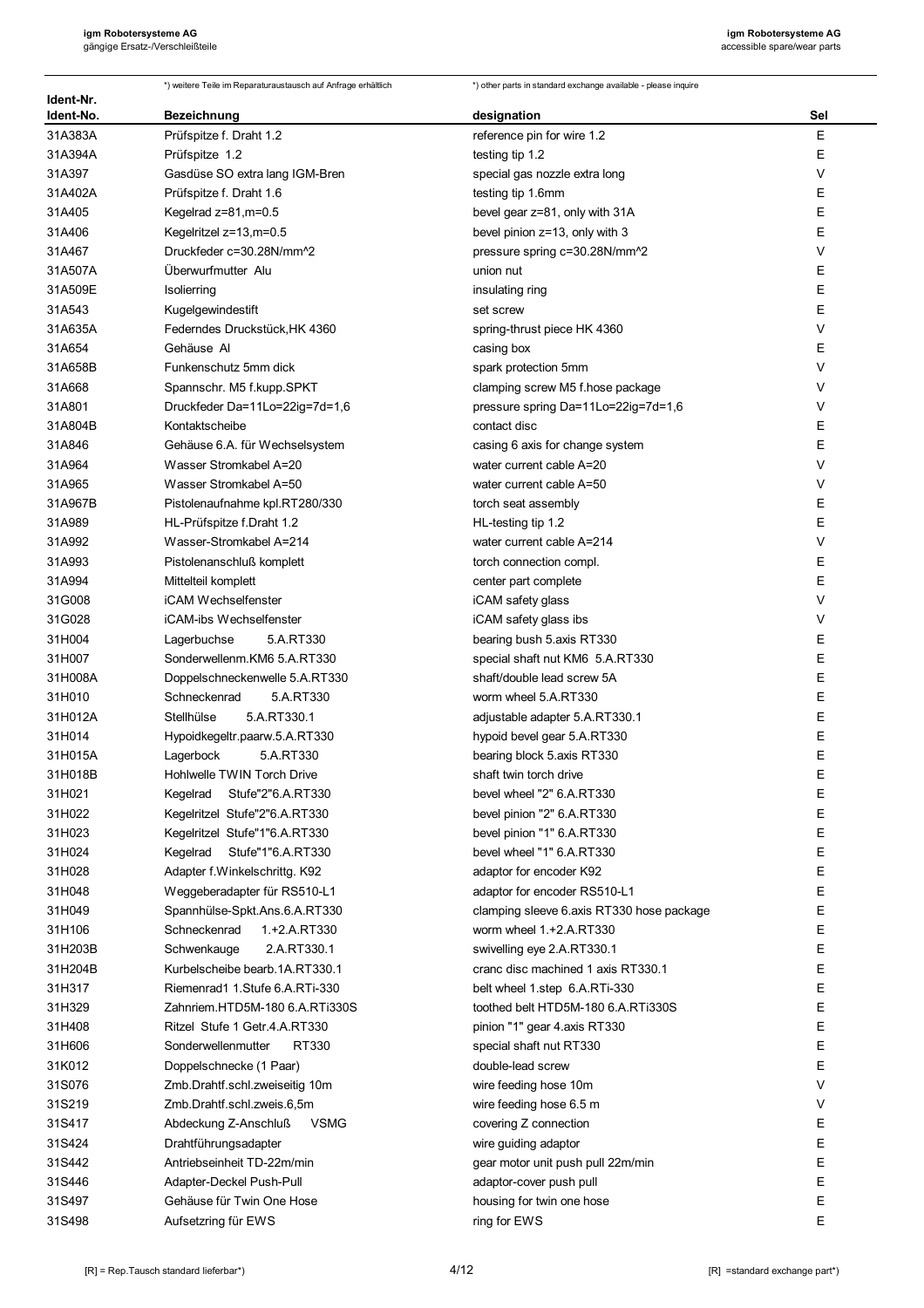| Ident-Nr.        | *) weitere Teile im Reparaturaustausch auf Anfrage erhältlich | *) other parts in standard exchange available - please inquire |             |
|------------------|---------------------------------------------------------------|----------------------------------------------------------------|-------------|
| Ident-No.        | <b>Bezeichnung</b>                                            | designation                                                    | Sel         |
| 31A383A          | Prüfspitze f. Draht 1.2                                       | reference pin for wire 1.2                                     | $\mathsf E$ |
| 31A394A          | Prüfspitze 1.2                                                | testing tip 1.2                                                | Е           |
| 31A397           | Gasdüse SO extra lang IGM-Bren                                | special gas nozzle extra long                                  | V           |
| 31A402A          | Prüfspitze f. Draht 1.6                                       | testing tip 1.6mm                                              | Е           |
| 31A405           | Kegelrad z=81,m=0.5                                           | bevel gear z=81, only with 31A                                 | E           |
| 31A406           | Kegelritzel z=13,m=0.5                                        | bevel pinion z=13, only with 3                                 | Е           |
| 31A467           | Druckfeder c=30.28N/mm^2                                      | pressure spring c=30.28N/mm^2                                  | $\vee$      |
| 31A507A          | Überwurfmutter Alu                                            | union nut                                                      | Е           |
| 31A509E          | Isolierring                                                   | insulating ring                                                | E           |
| 31A543           | Kugelgewindestift                                             | set screw                                                      | E           |
| 31A635A          | Federndes Druckstück, HK 4360                                 | spring-thrust piece HK 4360                                    | V           |
| 31A654           | Gehäuse Al                                                    | casing box                                                     | E           |
| 31A658B          | Funkenschutz 5mm dick                                         | spark protection 5mm                                           | V           |
| 31A668           | Spannschr. M5 f.kupp.SPKT                                     | clamping screw M5 f.hose package                               | V           |
| 31A801           | Druckfeder Da=11Lo=22ig=7d=1,6                                | pressure spring Da=11Lo=22ig=7d=1,6                            | V           |
| 31A804B          | Kontaktscheibe                                                | contact disc                                                   | Е           |
| 31A846           | Gehäuse 6.A. für Wechselsystem                                | casing 6 axis for change system                                | E           |
| 31A964           | Wasser Stromkabel A=20                                        | water current cable A=20                                       | V           |
| 31A965           | Wasser Stromkabel A=50                                        | water current cable A=50                                       | $\vee$      |
| 31A967B          | Pistolenaufnahme kpl.RT280/330                                | torch seat assembly                                            | Е           |
| 31A989           | HL-Prüfspitze f.Draht 1.2                                     | HL-testing tip 1.2                                             | E           |
| 31A992           | Wasser-Stromkabel A=214                                       | water current cable A=214                                      | V           |
| 31A993           | Pistolenanschluß komplett                                     | torch connection compl.                                        | Е<br>E      |
| 31A994           | Mittelteil komplett                                           | center part complete                                           | V           |
| 31G008           | iCAM Wechselfenster                                           | iCAM safety glass                                              | V           |
| 31G028           | iCAM-ibs Wechselfenster                                       | iCAM safety glass ibs                                          | Ε           |
| 31H004<br>31H007 | 5.A.RT330<br>Lagerbuchse<br>Sonderwellenm.KM6 5.A.RT330       | bearing bush 5.axis RT330<br>special shaft nut KM6 5.A.RT330   | E           |
| 31H008A          | Doppelschneckenwelle 5.A.RT330                                | shaft/double lead screw 5A                                     | Ε           |
| 31H010           | 5.A.RT330<br>Schneckenrad                                     | worm wheel 5.A.RT330                                           | E           |
| 31H012A          | 5.A.RT330.1<br>Stellhülse                                     | adjustable adapter 5.A.RT330.1                                 | E           |
| 31H014           | Hypoidkegeltr paarw.5.A.RT330                                 | hypoid bevel gear 5.A.RT330                                    | E           |
| 31H015A          | 5.A.RT330<br>Lagerbock                                        | bearing block 5 axis RT330                                     | E           |
| 31H018B          | Hohlwelle TWIN Torch Drive                                    | shaft twin torch drive                                         | E           |
| 31H021           | Stufe"2"6.A.RT330<br>Kegelrad                                 | bevel wheel "2" 6.A.RT330                                      | Е           |
| 31H022           | Kegelritzel Stufe"2"6.A.RT330                                 | bevel pinion "2" 6.A.RT330                                     | Е           |
| 31H023           | Kegelritzel Stufe"1"6.A.RT330                                 | bevel pinion "1" 6.A.RT330                                     | Е           |
| 31H024           | Kegelrad<br>Stufe"1"6.A.RT330                                 | bevel wheel "1" 6.A.RT330                                      | Ε           |
| 31H028           | Adapter f.Winkelschrittg. K92                                 | adaptor for encoder K92                                        | Е           |
| 31H048           | Weggeberadapter für RS510-L1                                  | adaptor for encoder RS510-L1                                   | Ε           |
| 31H049           | Spannhülse-Spkt.Ans.6.A.RT330                                 | clamping sleeve 6 axis RT330 hose package                      | Ε           |
| 31H106           | Schneckenrad<br>1.+2.A.RT330                                  | worm wheel 1.+2.A.RT330                                        | E           |
| 31H203B          | 2.A.RT330.1<br>Schwenkauge                                    | swivelling eye 2.A.RT330.1                                     | E           |
| 31H204B          | Kurbelscheibe bearb. 1A. RT330.1                              | cranc disc machined 1 axis RT330.1                             | E           |
| 31H317           | Riemenrad1 1. Stufe 6.A.RTi-330                               | belt wheel 1.step 6.A.RTi-330                                  | Е           |
| 31H329           | Zahnriem.HTD5M-180 6.A.RTi330S                                | toothed belt HTD5M-180 6.A.RTi330S                             | E           |
| 31H408           | Ritzel Stufe 1 Getr. 4. A.RT330                               | pinion "1" gear 4 axis RT330                                   | Ε           |
| 31H606           | Sonderwellenmutter<br>RT330                                   | special shaft nut RT330                                        | E           |
| 31K012           | Doppelschnecke (1 Paar)                                       | double-lead screw                                              | Е           |
| 31S076           | Zmb.Drahtf.schl.zweiseitig 10m                                | wire feeding hose 10m                                          | V           |
| 31S219           | Zmb.Drahtf.schl.zweis.6,5m                                    | wire feeding hose 6.5 m                                        | V           |
| 31S417           | <b>VSMG</b><br>Abdeckung Z-Anschluß                           | covering Z connection                                          | Ε           |
| 31S424           | Drahtführungsadapter                                          | wire guiding adaptor                                           | Е           |
| 31S442           | Antriebseinheit TD-22m/min                                    | gear motor unit push pull 22m/min                              | E           |
| 31S446           | Adapter-Deckel Push-Pull                                      | adaptor-cover push pull                                        | Е           |
| 31S497           | Gehäuse für Twin One Hose                                     | housing for twin one hose                                      | Ε           |
| 31S498           | Aufsetzring für EWS                                           | ring for EWS                                                   | E           |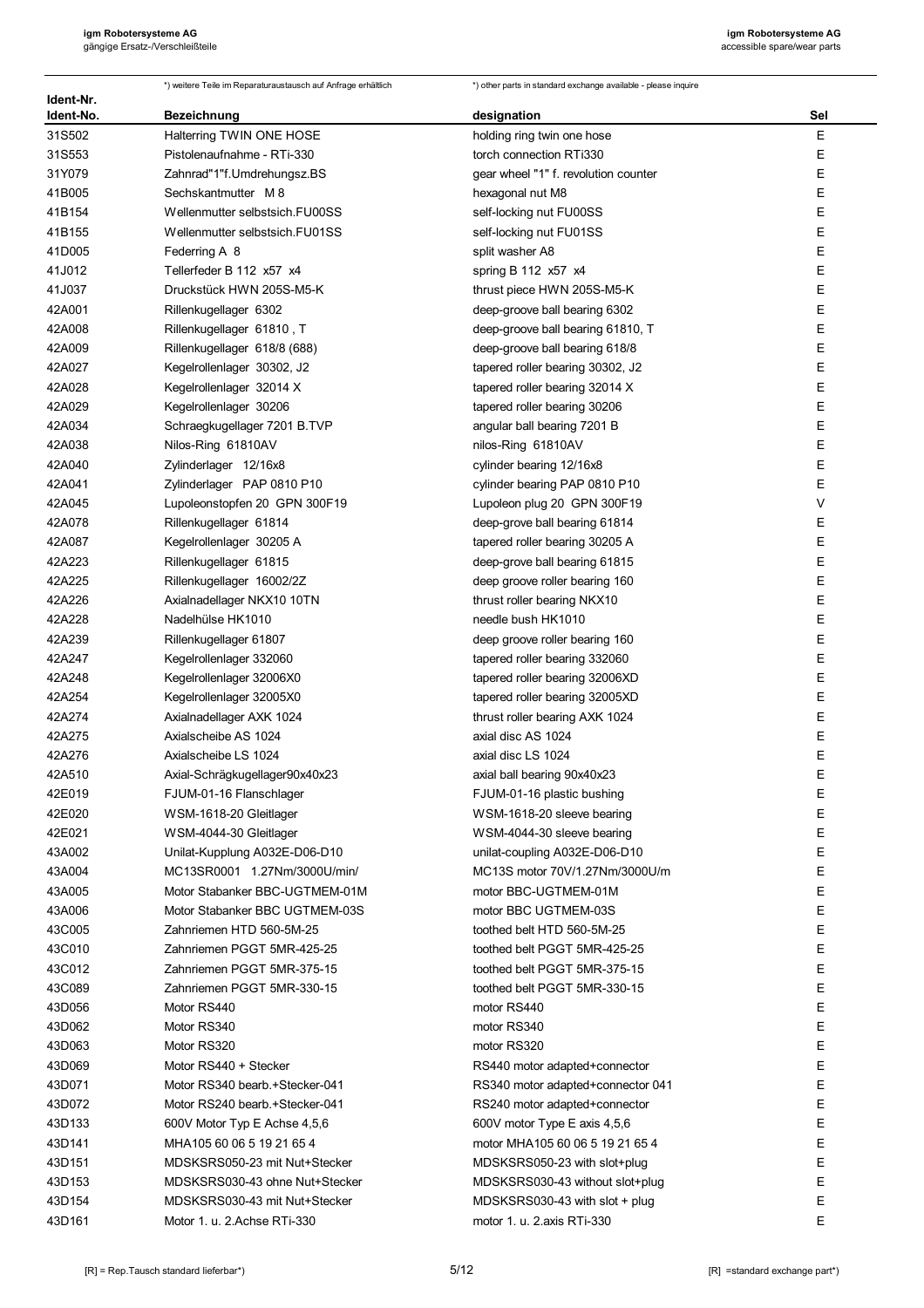|                        | *) weitere Teile im Reparaturaustausch auf Anfrage erhältlich | *) other parts in standard exchange available - please inquire |     |
|------------------------|---------------------------------------------------------------|----------------------------------------------------------------|-----|
| Ident-Nr.<br>Ident-No. | <b>Bezeichnung</b>                                            | designation                                                    | Sel |
| 31S502                 | Halterring TWIN ONE HOSE                                      | holding ring twin one hose                                     | Ε   |
| 31S553                 | Pistolenaufnahme - RTi-330                                    | torch connection RTi330                                        | Ε   |
| 31Y079                 | Zahnrad"1"f.Umdrehungsz.BS                                    | gear wheel "1" f. revolution counter                           | E   |
| 41B005                 | Sechskantmutter M 8                                           | hexagonal nut M8                                               | Ε   |
| 41B154                 | Wellenmutter selbstsich.FU00SS                                | self-locking nut FU00SS                                        | Ε   |
| 41B155                 | Wellenmutter selbstsich.FU01SS                                | self-locking nut FU01SS                                        | Ε   |
| 41D005                 | Federring A 8                                                 | split washer A8                                                | Е   |
| 41J012                 | Tellerfeder B 112 x57 x4                                      | spring B 112 x57 x4                                            | Ε   |
| 41J037                 | Druckstück HWN 205S-M5-K                                      | thrust piece HWN 205S-M5-K                                     | E   |
| 42A001                 | Rillenkugellager 6302                                         | deep-groove ball bearing 6302                                  | E   |
| 42A008                 | Rillenkugellager 61810, T                                     | deep-groove ball bearing 61810, T                              | Ε   |
| 42A009                 | Rillenkugellager 618/8 (688)                                  | deep-groove ball bearing 618/8                                 | E   |
| 42A027                 | Kegelrollenlager 30302, J2                                    | tapered roller bearing 30302, J2                               | Ε   |
| 42A028                 | Kegelrollenlager 32014 X                                      | tapered roller bearing 32014 X                                 | Ε   |
| 42A029                 | Kegelrollenlager 30206                                        | tapered roller bearing 30206                                   | E   |
| 42A034                 | Schraegkugellager 7201 B.TVP                                  | angular ball bearing 7201 B                                    | Е   |
| 42A038                 | Nilos-Ring 61810AV                                            | nilos-Ring 61810AV                                             | Ε   |
| 42A040                 | Zylinderlager 12/16x8                                         | cylinder bearing 12/16x8                                       | Е   |
| 42A041                 | Zylinderlager PAP 0810 P10                                    | cylinder bearing PAP 0810 P10                                  | E   |
| 42A045                 | Lupoleonstopfen 20 GPN 300F19                                 | Lupoleon plug 20 GPN 300F19                                    | V   |
| 42A078                 | Rillenkugellager 61814                                        | deep-grove ball bearing 61814                                  | Ε   |
| 42A087                 | Kegelrollenlager 30205 A                                      | tapered roller bearing 30205 A                                 | E   |
| 42A223                 | Rillenkugellager 61815                                        | deep-grove ball bearing 61815                                  | Ε   |
| 42A225                 | Rillenkugellager 16002/2Z                                     | deep groove roller bearing 160                                 | Ε   |
| 42A226                 | Axialnadellager NKX10 10TN                                    | thrust roller bearing NKX10                                    | Ε   |
| 42A228                 | Nadelhülse HK1010                                             | needle bush HK1010                                             | Ε   |
| 42A239                 | Rillenkugellager 61807                                        | deep groove roller bearing 160                                 | Ε   |
| 42A247                 | Kegelrollenlager 332060                                       | tapered roller bearing 332060                                  | Ε   |
| 42A248                 | Kegelrollenlager 32006X0                                      | tapered roller bearing 32006XD                                 | Ε   |
| 42A254                 | Kegelrollenlager 32005X0                                      | tapered roller bearing 32005XD                                 | Ε   |
| 42A274                 | Axialnadellager AXK 1024                                      | thrust roller bearing AXK 1024                                 | Е   |
| 42A275                 | Axialscheibe AS 1024                                          | axial disc AS 1024                                             | Ε   |
| 42A276                 | Axialscheibe LS 1024                                          | axial disc LS 1024                                             | Ε   |
| 42A510                 | Axial-Schrägkugellager90x40x23                                | axial ball bearing 90x40x23                                    | Е   |
| 42E019                 | FJUM-01-16 Flanschlager                                       | FJUM-01-16 plastic bushing                                     | Ε   |
| 42E020                 | WSM-1618-20 Gleitlager                                        | WSM-1618-20 sleeve bearing                                     | E   |
| 42E021                 | WSM-4044-30 Gleitlager                                        | WSM-4044-30 sleeve bearing                                     | E   |
| 43A002                 | Unilat-Kupplung A032E-D06-D10                                 | unilat-coupling A032E-D06-D10                                  | Е   |
| 43A004                 | MC13SR0001 1.27Nm/3000U/min/                                  | MC13S motor 70V/1.27Nm/3000U/m                                 | Ε   |
| 43A005                 | Motor Stabanker BBC-UGTMEM-01M                                | motor BBC-UGTMEM-01M                                           | Е   |
| 43A006                 | Motor Stabanker BBC UGTMEM-03S                                | motor BBC UGTMEM-03S                                           | Е   |
| 43C005                 | Zahnriemen HTD 560-5M-25                                      | toothed belt HTD 560-5M-25                                     | Ε   |
| 43C010                 | Zahnriemen PGGT 5MR-425-25                                    | toothed belt PGGT 5MR-425-25                                   | Е   |
| 43C012                 | Zahnriemen PGGT 5MR-375-15                                    | toothed belt PGGT 5MR-375-15                                   | E   |
| 43C089                 | Zahnriemen PGGT 5MR-330-15                                    | toothed belt PGGT 5MR-330-15                                   | Ε   |
| 43D056                 | Motor RS440                                                   | motor RS440                                                    | E   |
| 43D062                 | Motor RS340                                                   | motor RS340                                                    | E   |
| 43D063                 | Motor RS320                                                   | motor RS320                                                    | Ε   |
| 43D069                 | Motor RS440 + Stecker                                         | RS440 motor adapted+connector                                  | E   |
| 43D071                 | Motor RS340 bearb.+Stecker-041                                | RS340 motor adapted+connector 041                              | Е   |
| 43D072                 | Motor RS240 bearb.+Stecker-041                                | RS240 motor adapted+connector                                  | Ε   |
| 43D133                 | 600V Motor Typ E Achse 4,5,6                                  | 600V motor Type E axis 4,5,6                                   | Е   |
| 43D141                 | MHA105 60 06 5 19 21 65 4                                     | motor MHA105 60 06 5 19 21 65 4                                | Ε   |
| 43D151                 | MDSKSRS050-23 mit Nut+Stecker                                 | MDSKSRS050-23 with slot+plug                                   | Ε   |
| 43D153                 | MDSKSRS030-43 ohne Nut+Stecker                                | MDSKSRS030-43 without slot+plug                                | Е   |
| 43D154                 | MDSKSRS030-43 mit Nut+Stecker                                 | MDSKSRS030-43 with slot $+$ plug                               | Ε   |
| 43D161                 | Motor 1. u. 2.Achse RTi-330                                   | motor 1. u. 2.axis RTi-330                                     | E   |
|                        |                                                               |                                                                |     |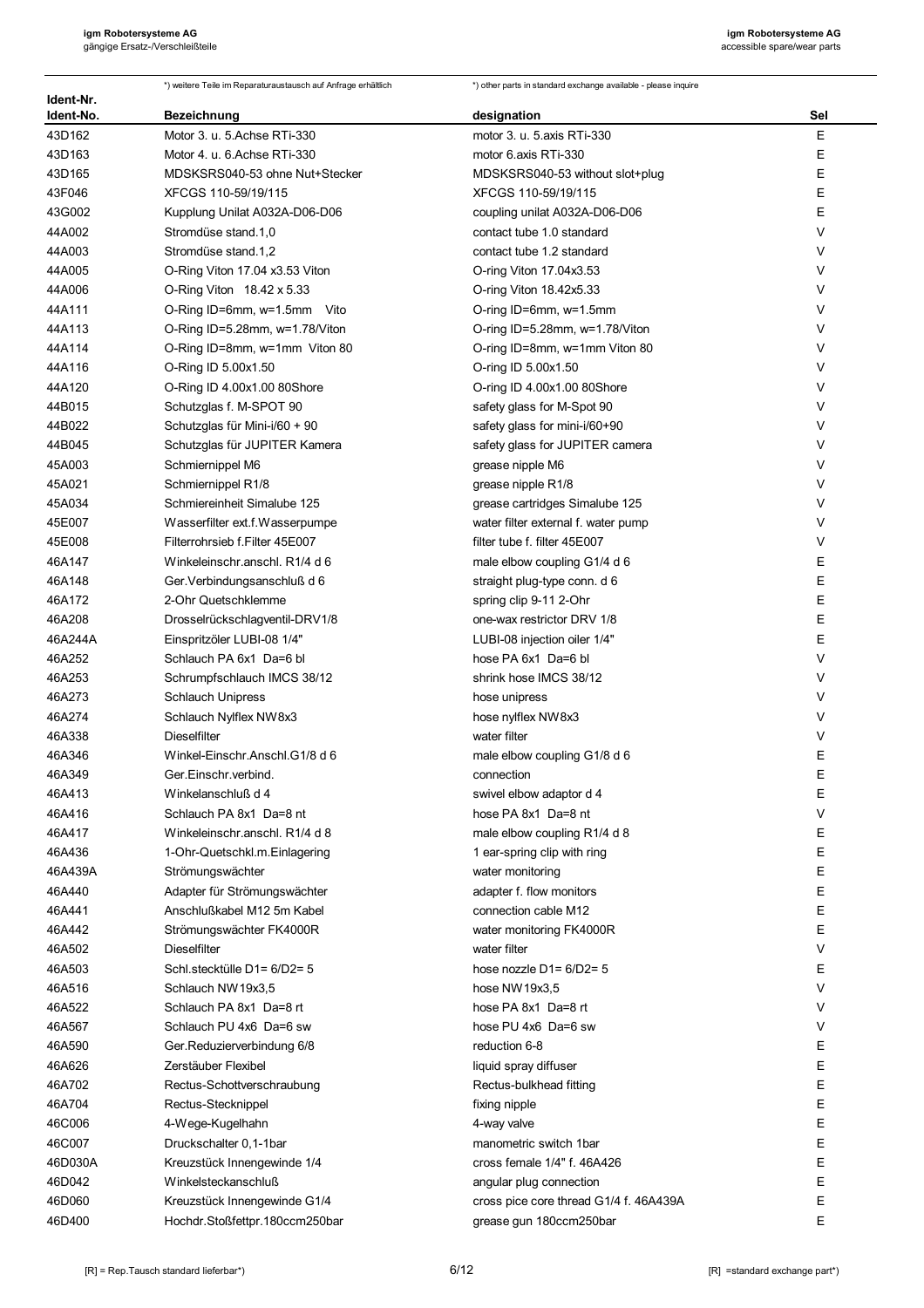| Ident-Nr. | *) weitere Teile im Reparaturaustausch auf Anfrage erhältlich | *) other parts in standard exchange available - please inquire |        |
|-----------|---------------------------------------------------------------|----------------------------------------------------------------|--------|
| Ident-No. | <b>Bezeichnung</b>                                            | designation                                                    | Sel    |
| 43D162    | Motor 3. u. 5. Achse RTi-330                                  | motor 3. u. 5 axis RTi-330                                     | Ε      |
| 43D163    | Motor 4. u. 6. Achse RTi-330                                  | motor 6 axis RTi-330                                           | Ε      |
| 43D165    | MDSKSRS040-53 ohne Nut+Stecker                                | MDSKSRS040-53 without slot+plug                                | E      |
| 43F046    | XFCGS 110-59/19/115                                           | XFCGS 110-59/19/115                                            | E      |
| 43G002    | Kupplung Unilat A032A-D06-D06                                 | coupling unilat A032A-D06-D06                                  | E      |
| 44A002    | Stromdüse stand.1,0                                           | contact tube 1.0 standard                                      | V      |
| 44A003    | Stromdüse stand.1,2                                           | contact tube 1.2 standard                                      | V      |
| 44A005    | O-Ring Viton 17.04 x3.53 Viton                                | O-ring Viton 17.04x3.53                                        | V      |
| 44A006    | O-Ring Viton 18.42 x 5.33                                     | O-ring Viton 18.42x5.33                                        | V      |
| 44A111    | $O-Ring ID=6mm$ , $w=1.5mm$ Vito                              | O-ring ID=6mm, w=1.5mm                                         | V      |
| 44A113    | O-Ring ID=5.28mm, w=1.78/Viton                                | O-ring ID=5.28mm, w=1.78/Viton                                 | V      |
| 44A114    | O-Ring ID=8mm, w=1mm Viton 80                                 | O-ring ID=8mm, w=1mm Viton 80                                  | V      |
| 44A116    | O-Ring ID 5.00x1.50                                           | O-ring ID 5.00x1.50                                            | V      |
| 44A120    | O-Ring ID 4.00x1.00 80Shore                                   | O-ring ID 4.00x1.00 80Shore                                    | V      |
| 44B015    | Schutzglas f. M-SPOT 90                                       | safety glass for M-Spot 90                                     | V      |
| 44B022    | Schutzglas für Mini-i/60 + 90                                 | safety glass for mini-i/60+90                                  | V      |
| 44B045    | Schutzglas für JUPITER Kamera                                 | safety glass for JUPITER camera                                | V      |
| 45A003    | Schmiernippel M6                                              | grease nipple M6                                               | V      |
| 45A021    | Schmiernippel R1/8                                            | grease nipple R1/8                                             | V      |
| 45A034    | Schmiereinheit Simalube 125                                   | grease cartridges Simalube 125                                 | V      |
| 45E007    | Wasserfilter ext.f.Wasserpumpe                                | water filter external f. water pump                            | V      |
| 45E008    | Filterrohrsieb f.Filter 45E007                                | filter tube f. filter 45E007                                   | V      |
| 46A147    | Winkeleinschr. anschl. R1/4 d 6                               | male elbow coupling G1/4 d 6                                   | E      |
| 46A148    | Ger. Verbindungsanschluß d 6                                  | straight plug-type conn. d 6                                   | E      |
| 46A172    | 2-Ohr Quetschklemme                                           | spring clip 9-11 2-Ohr                                         | Ε      |
| 46A208    |                                                               | one-wax restrictor DRV 1/8                                     | Ε      |
|           | Drosselrückschlagventil-DRV1/8                                |                                                                | E      |
| 46A244A   | Einspritzöler LUBI-08 1/4"                                    | LUBI-08 injection oiler 1/4"                                   | ٧      |
| 46A252    | Schlauch PA 6x1 Da=6 bl                                       | hose PA 6x1 Da=6 bl                                            | V      |
| 46A253    | Schrumpfschlauch IMCS 38/12                                   | shrink hose IMCS 38/12                                         | V      |
| 46A273    | <b>Schlauch Unipress</b>                                      | hose unipress                                                  | V      |
| 46A274    | Schlauch Nylflex NW8x3                                        | hose nylflex NW8x3                                             |        |
| 46A338    | <b>Dieselfilter</b>                                           | water filter                                                   | V      |
| 46A346    | Winkel-Einschr.Anschl.G1/8 d 6                                | male elbow coupling G1/8 d 6                                   | Ε<br>E |
| 46A349    | Ger.Einschr.verbind.                                          | connection                                                     |        |
| 46A413    | Winkelanschluß d 4                                            | swivel elbow adaptor d 4                                       | Ε      |
| 46A416    | Schlauch PA 8x1 Da=8 nt                                       | hose PA 8x1 Da=8 nt                                            | V      |
| 46A417    | Winkeleinschr.anschl. R1/4 d 8                                | male elbow coupling R1/4 d 8                                   | Ε      |
| 46A436    | 1-Ohr-Quetschkl.m.Einlagering                                 | 1 ear-spring clip with ring                                    | Ε      |
| 46A439A   | Strömungswächter                                              | water monitoring                                               | E      |
| 46A440    | Adapter für Strömungswächter                                  | adapter f. flow monitors                                       | E      |
| 46A441    | Anschlußkabel M12 5m Kabel                                    | connection cable M12                                           | E      |
| 46A442    | Strömungswächter FK4000R                                      | water monitoring FK4000R                                       | E      |
| 46A502    | <b>Dieselfilter</b>                                           | water filter                                                   | V      |
| 46A503    | Schl.stecktülle D1= 6/D2= 5                                   | hose nozzle $D1 = 6/D2 = 5$                                    | Ε      |
| 46A516    | Schlauch NW19x3,5                                             | hose NW 19x3,5                                                 | V      |
| 46A522    | Schlauch PA 8x1 Da=8 rt                                       | hose PA 8x1 Da=8 rt                                            | V      |
| 46A567    | Schlauch PU 4x6 Da=6 sw                                       | hose PU 4x6 Da=6 sw                                            | V      |
| 46A590    | Ger.Reduzierverbindung 6/8                                    | reduction 6-8                                                  | E      |
| 46A626    | Zerstäuber Flexibel                                           | liquid spray diffuser                                          | E      |
| 46A702    | Rectus-Schottverschraubung                                    | Rectus-bulkhead fitting                                        | E      |
| 46A704    | Rectus-Stecknippel                                            | fixing nipple                                                  | E      |
| 46C006    | 4-Wege-Kugelhahn                                              | 4-way valve                                                    | E      |
| 46C007    | Druckschalter 0,1-1bar                                        | manometric switch 1bar                                         | E      |
| 46D030A   | Kreuzstück Innengewinde 1/4                                   | cross female 1/4" f. 46A426                                    | E      |
| 46D042    | Winkelsteckanschluß                                           | angular plug connection                                        | E      |
| 46D060    | Kreuzstück Innengewinde G1/4                                  | cross pice core thread G1/4 f. 46A439A                         | Е      |
| 46D400    | Hochdr.Stoßfettpr.180ccm250bar                                | grease gun 180ccm250bar                                        | E      |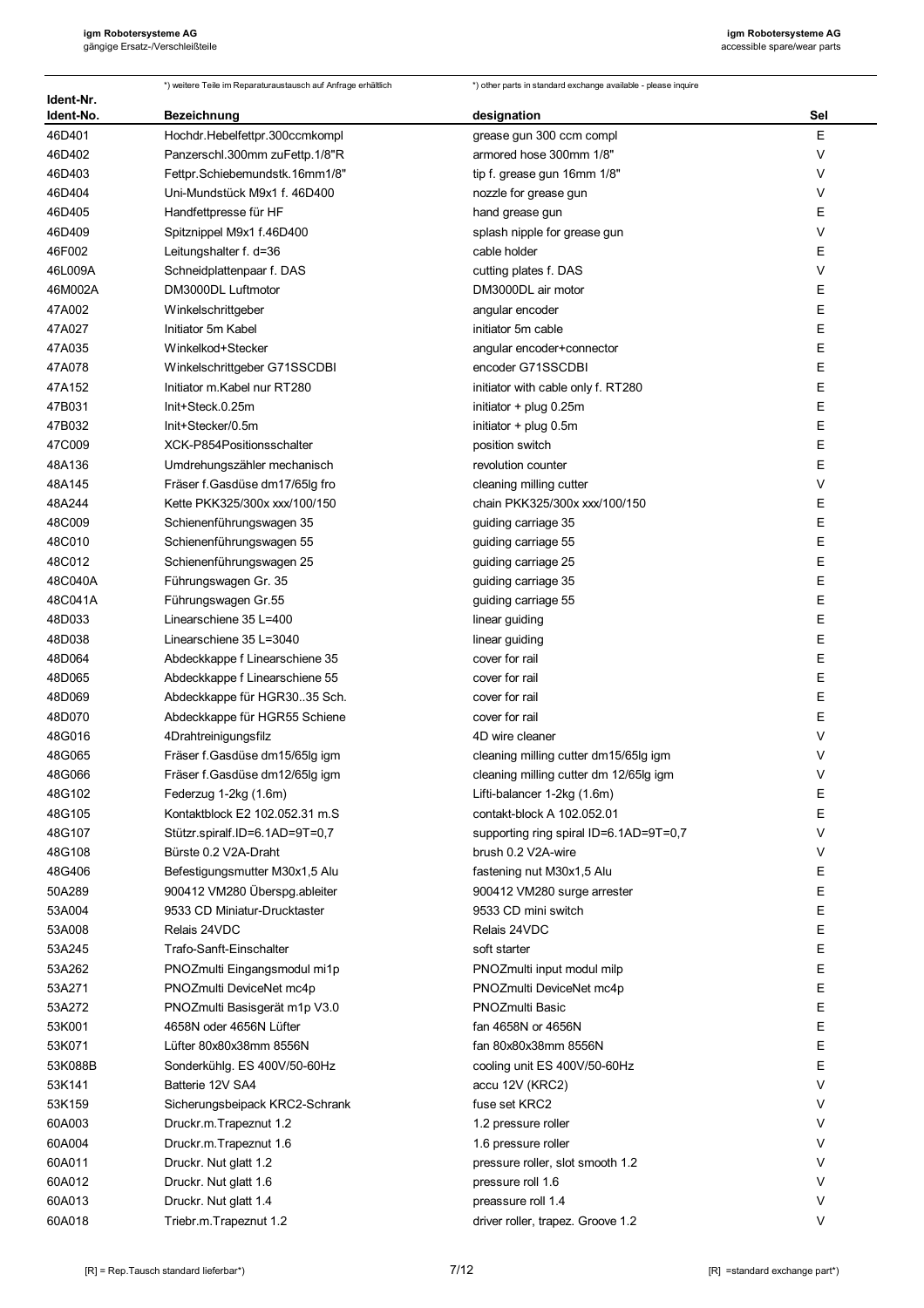| Ident-Nr. | *) weitere Teile im Reparaturaustausch auf Anfrage erhältlich | *) other parts in standard exchange available - please inquire |        |
|-----------|---------------------------------------------------------------|----------------------------------------------------------------|--------|
| Ident-No. | <b>Bezeichnung</b>                                            | designation                                                    | Sel    |
| 46D401    | Hochdr.Hebelfettpr.300ccmkompl                                | grease gun 300 ccm compl                                       | E      |
| 46D402    | Panzerschl.300mm zuFettp.1/8"R                                | armored hose 300mm 1/8"                                        | V      |
| 46D403    | Fettpr.Schiebemundstk.16mm1/8"                                | tip f. grease gun 16mm 1/8"                                    | V      |
| 46D404    | Uni-Mundstück M9x1 f. 46D400                                  | nozzle for grease gun                                          | V      |
| 46D405    | Handfettpresse für HF                                         | hand grease gun                                                | Ε      |
| 46D409    | Spitznippel M9x1 f.46D400                                     | splash nipple for grease gun                                   | $\vee$ |
| 46F002    | Leitungshalter f. d=36                                        | cable holder                                                   | Ε      |
| 46L009A   | Schneidplattenpaar f. DAS                                     | cutting plates f. DAS                                          | V      |
| 46M002A   | DM3000DL Luftmotor                                            | DM3000DL air motor                                             | Ε      |
| 47A002    | Winkelschrittgeber                                            | angular encoder                                                | Ε      |
| 47A027    | Initiator 5m Kabel                                            | initiator 5m cable                                             | E      |
| 47A035    | Winkelkod+Stecker                                             | angular encoder+connector                                      | E      |
| 47A078    | Winkelschrittgeber G71SSCDBI                                  | encoder G71SSCDBI                                              | Ε      |
| 47A152    | Initiator m.Kabel nur RT280                                   | initiator with cable only f. RT280                             | Ε      |
| 47B031    | Init+Steck.0.25m                                              | initiator + plug 0.25m                                         | Ε      |
| 47B032    | Init+Stecker/0.5m                                             | initiator + plug 0.5m                                          | Ε      |
| 47C009    | XCK-P854Positionsschalter                                     | position switch                                                | E      |
| 48A136    | Umdrehungszähler mechanisch                                   | revolution counter                                             | Ε      |
| 48A145    | Fräser f.Gasdüse dm17/65lg fro                                | cleaning milling cutter                                        | V      |
| 48A244    | Kette PKK325/300x xxx/100/150                                 | chain PKK325/300x xxx/100/150                                  | Ε      |
| 48C009    | Schienenführungswagen 35                                      | guiding carriage 35                                            | E      |
| 48C010    | Schienenführungswagen 55                                      | guiding carriage 55                                            | E      |
| 48C012    | Schienenführungswagen 25                                      | guiding carriage 25                                            | E      |
| 48C040A   | Führungswagen Gr. 35                                          | guiding carriage 35                                            | E      |
| 48C041A   | Führungswagen Gr.55                                           | guiding carriage 55                                            | E      |
| 48D033    | Linearschiene 35 L=400                                        | linear guiding                                                 | Ε      |
| 48D038    | Linearschiene 35 L=3040                                       | linear guiding                                                 | Ε      |
| 48D064    | Abdeckkappe f Linearschiene 35                                | cover for rail                                                 | Ε      |
| 48D065    | Abdeckkappe f Linearschiene 55                                | cover for rail                                                 | Ε      |
| 48D069    | Abdeckkappe für HGR3035 Sch.                                  | cover for rail                                                 | E      |
| 48D070    | Abdeckkappe für HGR55 Schiene                                 | cover for rail                                                 | Ε      |
| 48G016    | 4Drahtreinigungsfilz                                          | 4D wire cleaner                                                | V      |
| 48G065    | Fräser f. Gasdüse dm15/65lg igm                               | cleaning milling cutter dm15/65lg igm                          | V      |
| 48G066    | Fräser f. Gasdüse dm12/65lg igm                               | cleaning milling cutter dm 12/65lg igm                         | $\vee$ |
| 48G102    | Federzug 1-2kg (1.6m)                                         | Lifti-balancer 1-2kg (1.6m)                                    | Ε      |
| 48G105    | Kontaktblock E2 102.052.31 m.S                                | contakt-block A 102.052.01                                     | E      |
| 48G107    | Stützr.spiralf.ID=6.1AD=9T=0.7                                | supporting ring spiral ID=6.1AD=9T=0,7                         | V      |
| 48G108    | Bürste 0.2 V2A-Draht                                          | brush 0.2 V2A-wire                                             | V      |
| 48G406    | Befestigungsmutter M30x1,5 Alu                                | fastening nut M30x1,5 Alu                                      | Ε      |
| 50A289    | 900412 VM280 Überspg ableiter                                 | 900412 VM280 surge arrester                                    | E      |
| 53A004    | 9533 CD Miniatur-Drucktaster                                  | 9533 CD mini switch                                            | E      |
| 53A008    | Relais 24VDC                                                  | Relais 24VDC                                                   | E      |
| 53A245    | Trafo-Sanft-Einschalter                                       | soft starter                                                   | E      |
| 53A262    | PNOZmulti Eingangsmodul mi1p                                  | PNOZmulti input modul milp                                     | E      |
| 53A271    | PNOZmulti DeviceNet mc4p                                      | PNOZmulti DeviceNet mc4p                                       | E      |
| 53A272    | PNOZmulti Basisgerät m1p V3.0                                 | <b>PNOZmulti Basic</b>                                         | E      |
| 53K001    | 4658N oder 4656N Lüfter                                       | fan 4658N or 4656N                                             | E      |
| 53K071    | Lüfter 80x80x38mm 8556N                                       | fan 80x80x38mm 8556N                                           | E      |
| 53K088B   | Sonderkühlg. ES 400V/50-60Hz                                  | cooling unit ES 400V/50-60Hz                                   | E      |
| 53K141    | Batterie 12V SA4                                              | accu 12V (KRC2)                                                | V      |
| 53K159    | Sicherungsbeipack KRC2-Schrank                                | fuse set KRC2                                                  | V      |
| 60A003    | Druckr.m.Trapeznut 1.2                                        | 1.2 pressure roller                                            | V      |
| 60A004    | Druckr.m.Trapeznut 1.6                                        | 1.6 pressure roller                                            | V      |
| 60A011    | Druckr. Nut glatt 1.2                                         | pressure roller, slot smooth 1.2                               | V      |
| 60A012    | Druckr. Nut glatt 1.6                                         | pressure roll 1.6                                              | V      |
| 60A013    | Druckr. Nut glatt 1.4                                         | preassure roll 1.4                                             | V      |
| 60A018    | Triebr.m.Trapeznut 1.2                                        | driver roller, trapez. Groove 1.2                              | V      |
|           |                                                               |                                                                |        |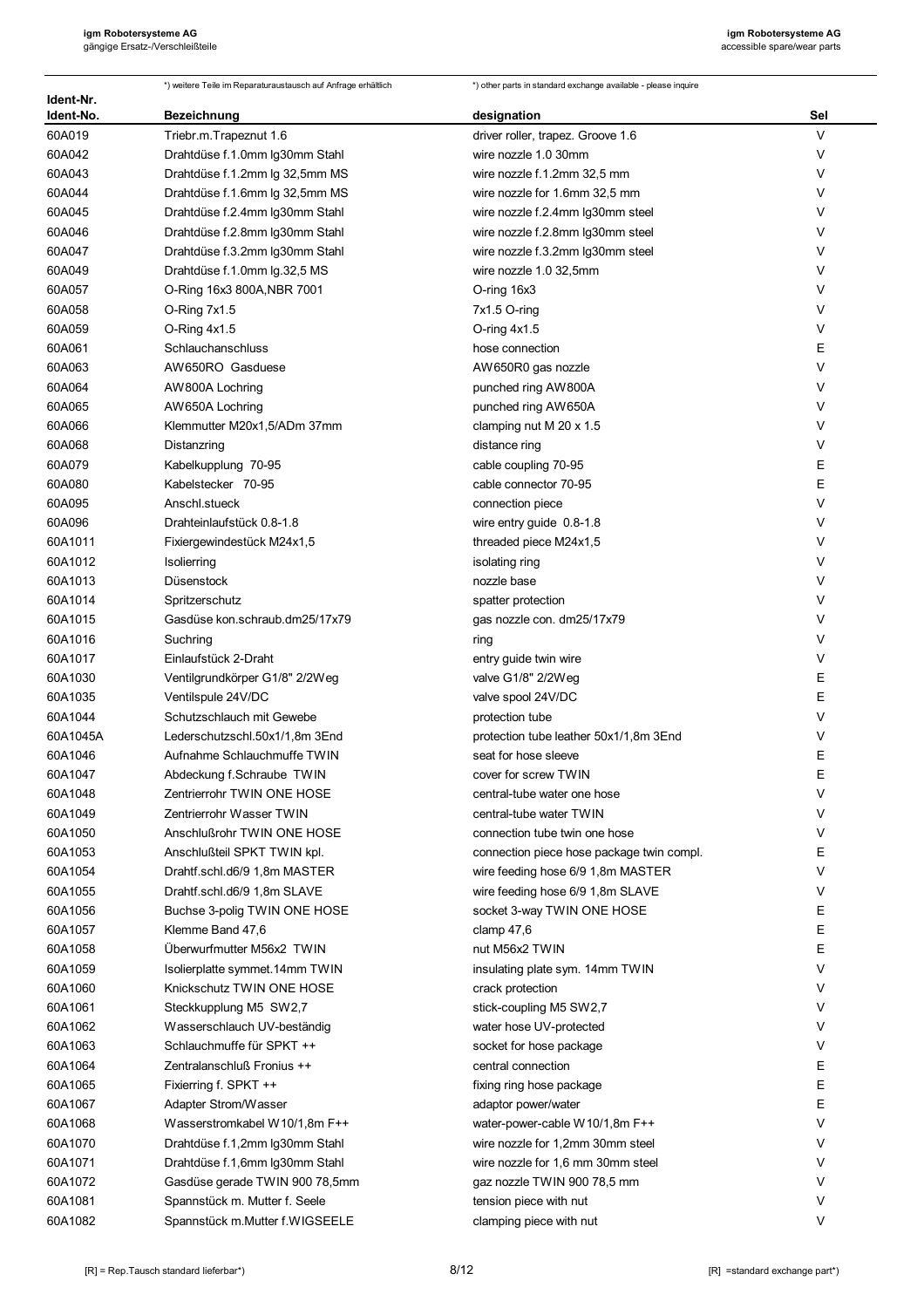|                        | *) weitere Teile im Reparaturaustausch auf Anfrage erhältlich | *) other parts in standard exchange available - please inquire |        |
|------------------------|---------------------------------------------------------------|----------------------------------------------------------------|--------|
| Ident-Nr.<br>Ident-No. | <b>Bezeichnung</b>                                            | designation                                                    | Sel    |
| 60A019                 | Triebr.m.Trapeznut 1.6                                        | driver roller, trapez. Groove 1.6                              | $\vee$ |
| 60A042                 | Drahtdüse f.1.0mm Ig30mm Stahl                                | wire nozzle 1.0 30mm                                           | V      |
| 60A043                 | Drahtdüse f.1.2mm Ig 32,5mm MS                                | wire nozzle f.1.2mm 32,5 mm                                    | V      |
| 60A044                 | Drahtdüse f.1.6mm Ig 32,5mm MS                                | wire nozzle for 1.6mm 32,5 mm                                  | V      |
| 60A045                 | Drahtdüse f.2.4mm Ig30mm Stahl                                | wire nozzle f.2.4mm Ig30mm steel                               | V      |
| 60A046                 | Drahtdüse f.2.8mm Ig30mm Stahl                                | wire nozzle f.2.8mm Ig30mm steel                               | V      |
| 60A047                 | Drahtdüse f.3.2mm Ig30mm Stahl                                | wire nozzle f.3.2mm Ig30mm steel                               | V      |
| 60A049                 | Drahtdüse f.1.0mm lg.32,5 MS                                  | wire nozzle 1.0 32,5mm                                         | V      |
| 60A057                 | O-Ring 16x3 800A, NBR 7001                                    | O-ring 16x3                                                    | V      |
| 60A058                 | O-Ring 7x1.5                                                  | 7x1.5 O-ring                                                   | V      |
| 60A059                 | $O-Ring 4x1.5$                                                | O-ring $4x1.5$                                                 | V      |
| 60A061                 | Schlauchanschluss                                             | hose connection                                                | Ε      |
| 60A063                 | AW650RO Gasduese                                              | AW650R0 gas nozzle                                             | V      |
| 60A064                 | AW800A Lochring                                               | punched ring AW800A                                            | V      |
| 60A065                 | AW650A Lochring                                               | punched ring AW650A                                            | V      |
| 60A066                 | Klemmutter M20x1,5/ADm 37mm                                   | clamping nut M 20 x 1.5                                        | V      |
| 60A068                 | Distanzring                                                   | distance ring                                                  | V      |
| 60A079                 | Kabelkupplung 70-95                                           | cable coupling 70-95                                           | Е      |
| 60A080                 | Kabelstecker 70-95                                            | cable connector 70-95                                          | E      |
| 60A095                 | Anschl.stueck                                                 | connection piece                                               | V      |
| 60A096                 | Drahteinlaufstück 0.8-1.8                                     | wire entry guide 0.8-1.8                                       | V      |
| 60A1011                | Fixiergewindestück M24x1,5                                    | threaded piece M24x1,5                                         | V      |
| 60A1012                | Isolierring                                                   | isolating ring                                                 | V      |
| 60A1013                | Düsenstock                                                    | nozzle base                                                    | V      |
| 60A1014                | Spritzerschutz                                                | spatter protection                                             | V      |
| 60A1015                | Gasdüse kon schraub.dm25/17x79                                | gas nozzle con. dm25/17x79                                     | V      |
| 60A1016                | Suchring                                                      | ring                                                           | V      |
| 60A1017                | Einlaufstück 2-Draht                                          | entry guide twin wire                                          | V      |
| 60A1030                | Ventilgrundkörper G1/8" 2/2Weg                                | valve G1/8" 2/2Weg                                             | E      |
| 60A1035                | Ventilspule 24V/DC                                            | valve spool 24V/DC                                             | E      |
| 60A1044                | Schutzschlauch mit Gewebe                                     | protection tube                                                | V      |
| 60A1045A               | Lederschutzschl.50x1/1,8m 3End                                | protection tube leather 50x1/1,8m 3End                         | V      |
| 60A1046                | Aufnahme Schlauchmuffe TWIN                                   | seat for hose sleeve                                           | Е      |
| 60A1047                | Abdeckung f.Schraube TWIN                                     | cover for screw TWIN                                           | E      |
| 60A1048                | Zentrierrohr TWIN ONE HOSE                                    | central-tube water one hose                                    | V      |
| 60A1049                | Zentrierrohr Wasser TWIN                                      | central-tube water TWIN                                        | V      |
| 60A1050                | Anschlußrohr TWIN ONE HOSE                                    | connection tube twin one hose                                  | V      |
| 60A1053                | Anschlußteil SPKT TWIN kpl.                                   | connection piece hose package twin compl.                      | Ε      |
| 60A1054                | Drahtf.schl.d6/9 1,8m MASTER                                  | wire feeding hose 6/9 1,8m MASTER                              | V      |
| 60A1055                | Drahtf.schl.d6/9 1,8m SLAVE                                   | wire feeding hose 6/9 1,8m SLAVE                               | V      |
| 60A1056                | Buchse 3-polig TWIN ONE HOSE                                  | socket 3-way TWIN ONE HOSE                                     | Ε      |
| 60A1057                | Klemme Band 47,6                                              | clamp $47,6$                                                   | E      |
| 60A1058                | Überwurfmutter M56x2 TWIN                                     | nut M56x2 TWIN                                                 | Ε      |
| 60A1059                | Isolierplatte symmet.14mm TWIN                                | insulating plate sym. 14mm TWIN                                | V      |
| 60A1060                | Knickschutz TWIN ONE HOSE                                     | crack protection                                               | V      |
| 60A1061                | Steckkupplung M5 SW2,7                                        | stick-coupling M5 SW2,7                                        | V      |
| 60A1062                | Wasserschlauch UV-beständig                                   | water hose UV-protected                                        | V      |
| 60A1063                | Schlauchmuffe für SPKT ++                                     | socket for hose package                                        | V      |
| 60A1064                | Zentralanschluß Fronius ++                                    | central connection                                             | Ε      |
| 60A1065                | Fixierring f. SPKT ++                                         | fixing ring hose package                                       | Ε      |
| 60A1067                | Adapter Strom/Wasser                                          | adaptor power/water                                            | Е      |
| 60A1068                | Wasserstromkabel W10/1,8m F++                                 | water-power-cable W10/1,8m F++                                 | V      |
| 60A1070                | Drahtdüse f.1,2mm Ig30mm Stahl                                | wire nozzle for 1,2mm 30mm steel                               | V      |
| 60A1071                | Drahtdüse f.1,6mm Ig30mm Stahl                                | wire nozzle for 1,6 mm 30mm steel                              | V      |
| 60A1072                | Gasdüse gerade TWIN 900 78,5mm                                | gaz nozzle TWIN 900 78,5 mm                                    | V      |
| 60A1081                | Spannstück m. Mutter f. Seele                                 | tension piece with nut                                         | V      |
| 60A1082                | Spannstück m.Mutter f.WIGSEELE                                | clamping piece with nut                                        | V      |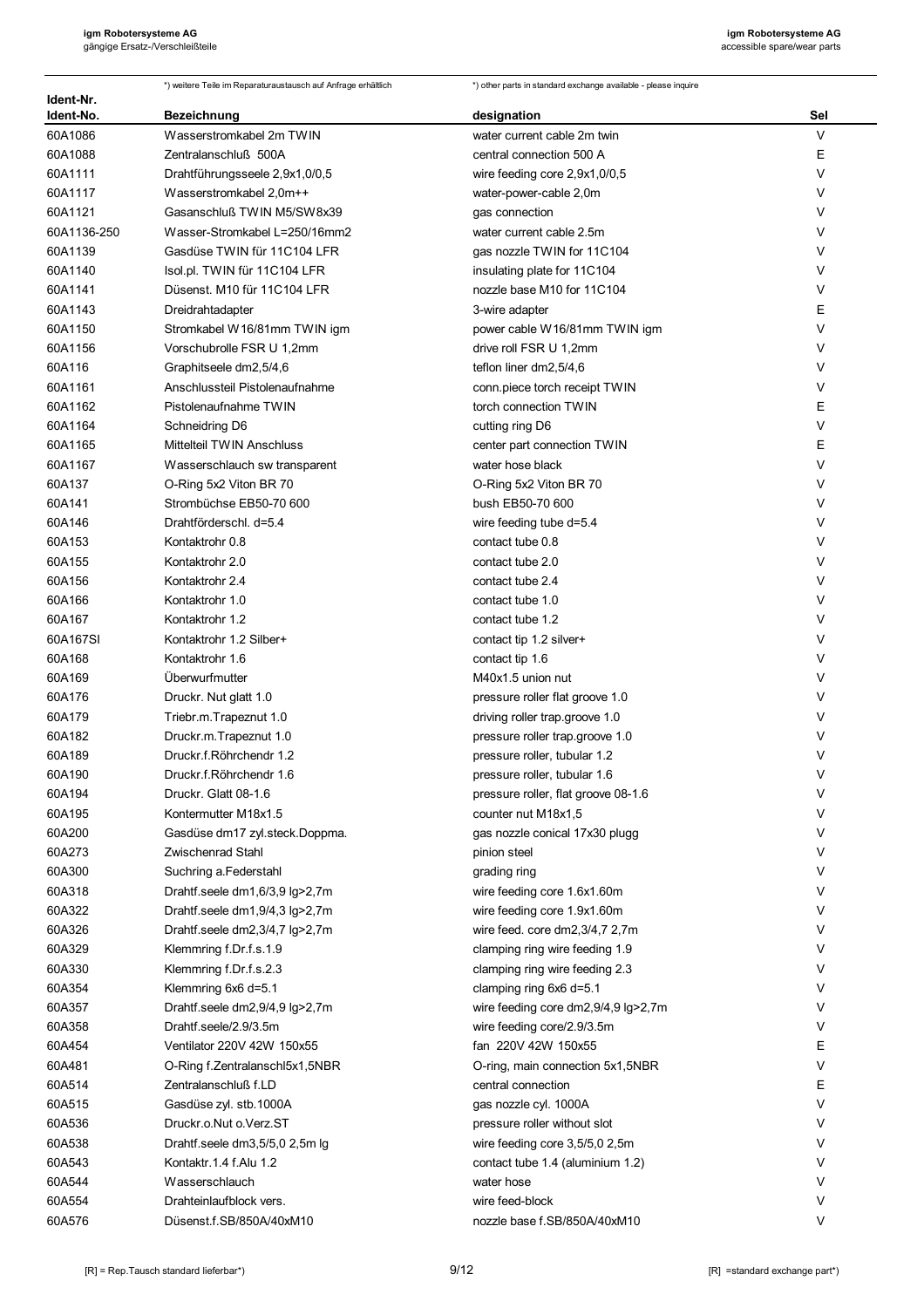|                        | *) weitere Teile im Reparaturaustausch auf Anfrage erhältlich | *) other parts in standard exchange available - please inquire |        |
|------------------------|---------------------------------------------------------------|----------------------------------------------------------------|--------|
| ldent-Nr.<br>Ident-No. | Bezeichnung                                                   | designation                                                    | Sel    |
| 60A1086                | Wasserstromkabel 2m TWIN                                      | water current cable 2m twin                                    | $\vee$ |
| 60A1088                | Zentralanschluß 500A                                          | central connection 500 A                                       | Ε      |
| 60A1111                | Drahtführungsseele 2,9x1,0/0,5                                | wire feeding core 2,9x1,0/0,5                                  | V      |
| 60A1117                | Wasserstromkabel 2,0m++                                       | water-power-cable 2,0m                                         | V      |
| 60A1121                | Gasanschluß TWIN M5/SW8x39                                    | gas connection                                                 | V      |
| 60A1136-250            | Wasser-Stromkabel L=250/16mm2                                 | water current cable 2.5m                                       | V      |
| 60A1139                | Gasdüse TWIN für 11C104 LFR                                   | gas nozzle TWIN for 11C104                                     | V      |
| 60A1140                | Isol.pl. TWIN für 11C104 LFR                                  | insulating plate for 11C104                                    | V      |
| 60A1141                | Düsenst. M10 für 11C104 LFR                                   | nozzle base M10 for 11C104                                     | V      |
| 60A1143                | Dreidrahtadapter                                              | 3-wire adapter                                                 | E      |
| 60A1150                | Stromkabel W16/81mm TWIN igm                                  | power cable W16/81mm TWIN igm                                  | V      |
| 60A1156                | Vorschubrolle FSR U 1,2mm                                     | drive roll FSR U 1,2mm                                         | V      |
| 60A116                 | Graphitseele dm2,5/4,6                                        | teflon liner dm2,5/4,6                                         | V      |
| 60A1161                | Anschlussteil Pistolenaufnahme                                | conn.piece torch receipt TWIN                                  | V      |
| 60A1162                | Pistolenaufnahme TWIN                                         | torch connection TWIN                                          | E      |
| 60A1164                | Schneidring D6                                                | cutting ring D6                                                | V      |
| 60A1165                | Mittelteil TWIN Anschluss                                     | center part connection TWIN                                    | Ε      |
| 60A1167                | Wasserschlauch sw transparent                                 | water hose black                                               | V      |
| 60A137                 | O-Ring 5x2 Viton BR 70                                        | O-Ring 5x2 Viton BR 70                                         | V      |
| 60A141                 | Strombüchse EB50-70 600                                       | bush EB50-70 600                                               | V      |
| 60A146                 | Drahtförderschl. d=5.4                                        | wire feeding tube d=5.4                                        | V      |
| 60A153                 | Kontaktrohr 0.8                                               | contact tube 0.8                                               | V      |
| 60A155                 | Kontaktrohr 2.0                                               | contact tube 2.0                                               | V      |
| 60A156                 | Kontaktrohr 2.4                                               | contact tube 2.4                                               | V      |
| 60A166                 | Kontaktrohr 1.0                                               | contact tube 1.0                                               | V      |
| 60A167                 | Kontaktrohr 1.2                                               | contact tube 1.2                                               | V      |
| 60A167SI               | Kontaktrohr 1.2 Silber+                                       | contact tip 1.2 silver+                                        | V      |
| 60A168                 | Kontaktrohr 1.6                                               | contact tip 1.6                                                | V      |
| 60A169                 | Überwurfmutter                                                | M40x1.5 union nut                                              | V      |
| 60A176                 | Druckr. Nut glatt 1.0                                         | pressure roller flat groove 1.0                                | V      |
| 60A179                 | Triebr.m.Trapeznut 1.0                                        | driving roller trap.groove 1.0                                 | $\vee$ |
| 60A182                 | Druckr.m.Trapeznut 1.0                                        | pressure roller trap.groove 1.0                                | ٧      |
| 60A189                 | Druckr.f.Röhrchendr 1.2                                       | pressure roller, tubular 1.2                                   | V      |
| 60A190                 | Druckr.f.Röhrchendr 1.6                                       | pressure roller, tubular 1.6                                   | V      |
| 60A194                 | Druckr. Glatt 08-1.6                                          | pressure roller, flat groove 08-1.6                            | V      |
| 60A195                 | Kontermutter M18x1.5                                          | counter nut M18x1,5                                            | V      |
| 60A200                 | Gasdüse dm17 zyl.steck.Doppma.                                | gas nozzle conical 17x30 plugg                                 | V      |
| 60A273                 | Zwischenrad Stahl                                             | pinion steel                                                   | V      |
| 60A300                 | Suchring a Federstahl                                         | grading ring                                                   | V      |
| 60A318                 | Drahtf.seele dm1,6/3,9 lg>2,7m                                | wire feeding core 1.6x1.60m                                    | V      |
| 60A322                 | Drahtf.seele dm1,9/4,3 lg>2,7m                                | wire feeding core 1.9x1.60m                                    | V      |
| 60A326                 | Drahtf.seele dm2,3/4,7 lg>2,7m                                | wire feed. core dm2,3/4,7 2,7m                                 | V      |
| 60A329                 | Klemmring f.Dr.f.s.1.9                                        | clamping ring wire feeding 1.9                                 | V      |
| 60A330                 | Klemmring f.Dr.f.s.2.3                                        | clamping ring wire feeding 2.3                                 | V      |
| 60A354                 | Klemmring 6x6 d=5.1                                           | clamping ring 6x6 d=5.1                                        | V      |
| 60A357                 | Drahtf.seele dm2,9/4,9 lg>2,7m                                | wire feeding core dm2,9/4,9 lg>2,7m                            | V      |
| 60A358                 | Drahtf.seele/2.9/3.5m                                         | wire feeding core/2.9/3.5m                                     | V      |
| 60A454                 | Ventilator 220V 42W 150x55                                    | fan 220V 42W 150x55                                            | Ε      |
| 60A481                 | O-Ring f.Zentralanschl5x1,5NBR                                | O-ring, main connection 5x1,5NBR                               | V      |
| 60A514                 | Zentralanschluß f.LD                                          | central connection                                             | Е      |
| 60A515                 | Gasdüse zyl. stb.1000A                                        | gas nozzle cyl. 1000A                                          | V      |
| 60A536                 | Druckr.o.Nut o.Verz.ST                                        | pressure roller without slot                                   | V      |
| 60A538                 | Drahtf.seele dm3,5/5,0 2,5m lg                                | wire feeding core 3,5/5,0 2,5m                                 | V      |
| 60A543                 | Kontaktr.1.4 f.Alu 1.2                                        | contact tube 1.4 (aluminium 1.2)                               | V      |
| 60A544                 | Wasserschlauch                                                | water hose                                                     | V      |
| 60A554                 | Drahteinlaufblock vers.                                       | wire feed-block                                                | V      |
| 60A576                 | Düsenst.f.SB/850A/40xM10                                      | nozzle base f.SB/850A/40xM10                                   | V      |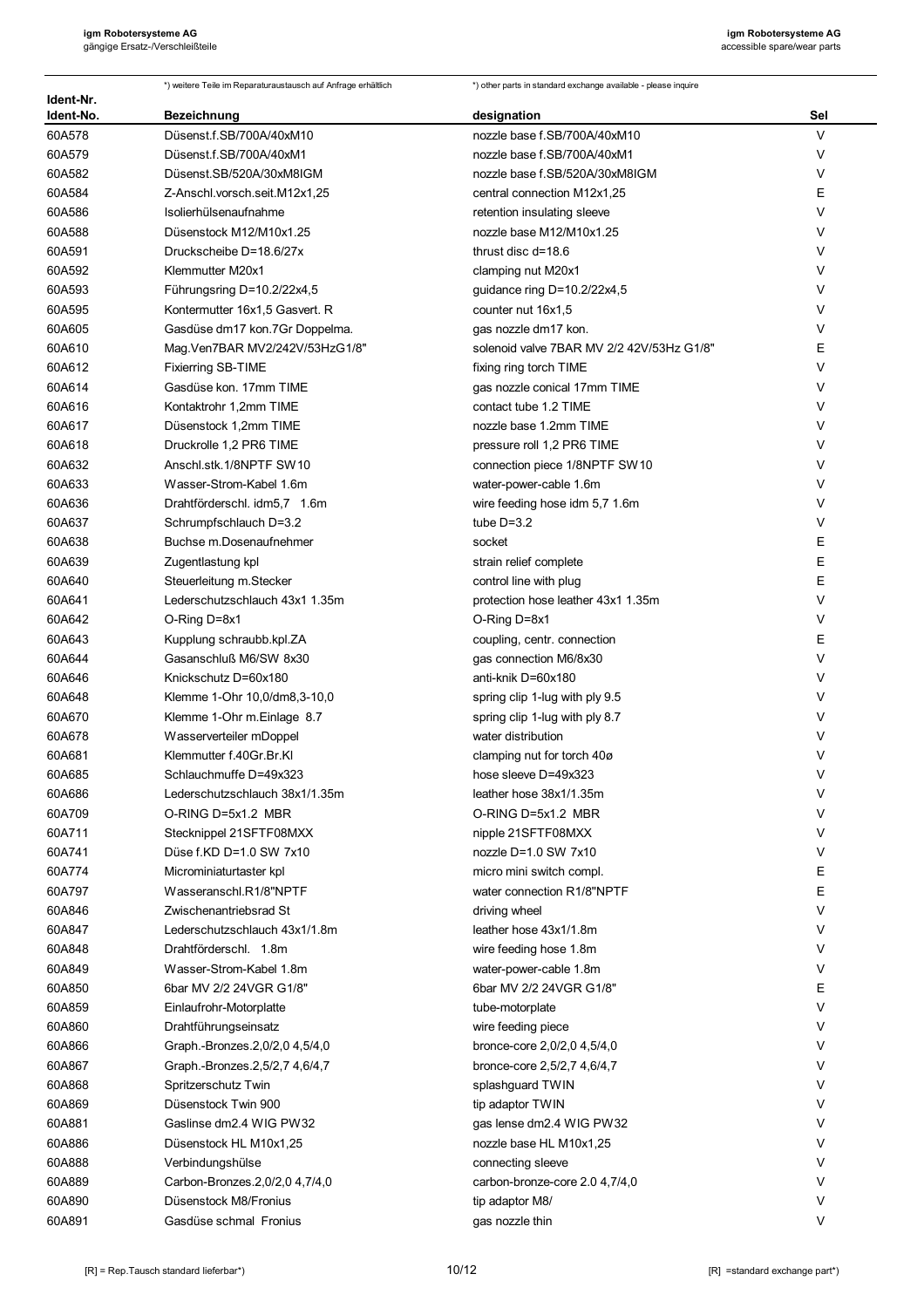|                        | *) weitere Teile im Reparaturaustausch auf Anfrage erhältlich | *) other parts in standard exchange available - please inquire |        |
|------------------------|---------------------------------------------------------------|----------------------------------------------------------------|--------|
| Ident-Nr.<br>Ident-No. | <b>Bezeichnung</b>                                            | designation                                                    | Sel    |
| 60A578                 | Düsenst.f.SB/700A/40xM10                                      | nozzle base f.SB/700A/40xM10                                   | V      |
| 60A579                 | Düsenst.f.SB/700A/40xM1                                       | nozzle base f.SB/700A/40xM1                                    | V      |
| 60A582                 | Düsenst.SB/520A/30xM8IGM                                      | nozzle base f.SB/520A/30xM8IGM                                 | $\vee$ |
| 60A584                 | Z-Anschl.vorsch.seit.M12x1,25                                 | central connection M12x1,25                                    | E      |
| 60A586                 | Isolierhülsenaufnahme                                         | retention insulating sleeve                                    | $\vee$ |
| 60A588                 | Düsenstock M12/M10x1.25                                       | nozzle base M12/M10x1.25                                       | $\vee$ |
| 60A591                 | Druckscheibe D=18.6/27x                                       | thrust disc d=18.6                                             | $\vee$ |
| 60A592                 | Klemmutter M20x1                                              | clamping nut M20x1                                             | V      |
| 60A593                 | Führungsring D=10.2/22x4,5                                    | guidance ring D=10.2/22x4,5                                    | V      |
| 60A595                 | Kontermutter 16x1,5 Gasvert. R                                | counter nut 16x1,5                                             | V      |
| 60A605                 | Gasdüse dm17 kon.7Gr Doppelma.                                | gas nozzle dm17 kon.                                           | V      |
| 60A610                 | Mag. Ven 7BAR MV2/242V/53HzG1/8"                              | solenoid valve 7BAR MV 2/2 42V/53Hz G1/8"                      | Ε      |
| 60A612                 | <b>Fixierring SB-TIME</b>                                     | fixing ring torch TIME                                         | V      |
| 60A614                 | Gasdüse kon. 17mm TIME                                        | gas nozzle conical 17mm TIME                                   | V      |
| 60A616                 | Kontaktrohr 1,2mm TIME                                        | contact tube 1.2 TIME                                          | V      |
| 60A617                 | Düsenstock 1,2mm TIME                                         | nozzle base 1.2mm TIME                                         | V      |
| 60A618                 | Druckrolle 1,2 PR6 TIME                                       | pressure roll 1,2 PR6 TIME                                     | V      |
| 60A632                 | Anschl.stk.1/8NPTF SW10                                       | connection piece 1/8NPTF SW10                                  | V      |
| 60A633                 | Wasser-Strom-Kabel 1.6m                                       | water-power-cable 1.6m                                         | V      |
| 60A636                 | Drahtförderschl. idm5,7 1.6m                                  | wire feeding hose idm 5,7 1.6m                                 | V      |
| 60A637                 | Schrumpfschlauch D=3.2                                        | tube $D=3.2$                                                   | V      |
| 60A638                 | Buchse m.Dosenaufnehmer                                       | socket                                                         | Ε      |
| 60A639                 | Zugentlastung kpl                                             | strain relief complete                                         | E      |
| 60A640                 | Steuerleitung m.Stecker                                       | control line with plug                                         | E      |
| 60A641                 | Lederschutzschlauch 43x1 1.35m                                | protection hose leather 43x1 1.35m                             | V      |
| 60A642                 | O-Ring D=8x1                                                  | O-Ring D=8x1                                                   | V      |
| 60A643                 | Kupplung schraubb.kpl.ZA                                      | coupling, centr. connection                                    | Ε      |
| 60A644                 | Gasanschluß M6/SW 8x30                                        | gas connection M6/8x30                                         | V      |
| 60A646                 | Knickschutz D=60x180                                          | anti-knik D=60x180                                             | V      |
| 60A648                 | Klemme 1-Ohr 10,0/dm8,3-10,0                                  | spring clip 1-lug with ply 9.5                                 | $\vee$ |
| 60A670                 | Klemme 1-Ohr m.Einlage 8.7                                    | spring clip 1-lug with ply 8.7                                 | $\vee$ |
| 60A678                 | Wasserverteiler mDoppel                                       | water distribution                                             | V      |
| 60A681                 | Klemmutter f.40Gr.Br.Kl                                       | clamping nut for torch 40ø                                     | V      |
| 60A685                 | Schlauchmuffe D=49x323                                        | hose sleeve D=49x323                                           | V      |
| 60A686                 | Lederschutzschlauch 38x1/1.35m                                | leather hose 38x1/1.35m                                        | V      |
| 60A709                 | O-RING D=5x1.2 MBR                                            | O-RING D=5x1.2 MBR                                             | V      |
| 60A711                 | Stecknippel 21SFTF08MXX                                       | nipple 21SFTF08MXX                                             | $\vee$ |
| 60A741                 | Düse f.KD D=1.0 SW 7x10                                       | nozzle D=1.0 SW 7x10                                           | V      |
| 60A774                 | Microminiaturtaster kpl                                       | micro mini switch compl.                                       | Ε      |
| 60A797                 | Wasseranschl.R1/8"NPTF                                        | water connection R1/8"NPTF                                     | E      |
| 60A846                 | Zwischenantriebsrad St                                        | driving wheel                                                  | V      |
| 60A847                 | Lederschutzschlauch 43x1/1.8m                                 | leather hose 43x1/1.8m                                         | V      |
| 60A848                 | Drahtförderschl. 1.8m                                         | wire feeding hose 1.8m                                         | $\vee$ |
| 60A849                 | Wasser-Strom-Kabel 1.8m                                       | water-power-cable 1.8m                                         | V      |
| 60A850                 | 6bar MV 2/2 24VGR G1/8"                                       | 6bar MV 2/2 24VGR G1/8"                                        | Ε      |
| 60A859                 | Einlaufrohr-Motorplatte                                       | tube-motorplate                                                | V      |
| 60A860                 | Drahtführungseinsatz                                          | wire feeding piece                                             | V      |
| 60A866                 | Graph.-Bronzes.2,0/2,0 4,5/4,0                                | bronce-core 2,0/2,0 4,5/4,0                                    | V      |
| 60A867                 | Graph.-Bronzes.2,5/2,7 4,6/4,7                                | bronce-core 2,5/2,7 4,6/4,7                                    | V      |
| 60A868                 | Spritzerschutz Twin                                           | splashguard TWIN                                               | V      |
| 60A869                 | Düsenstock Twin 900                                           | tip adaptor TWIN                                               | V      |
| 60A881                 | Gaslinse dm2.4 WIG PW32                                       | gas lense dm2.4 WIG PW32                                       | V      |
| 60A886                 | Düsenstock HL M10x1,25                                        | nozzle base HL M10x1,25                                        | V      |
| 60A888                 | Verbindungshülse                                              | connecting sleeve                                              | V      |
| 60A889                 | Carbon-Bronzes.2,0/2,0 4,7/4,0                                | carbon-bronze-core 2.0 4,7/4,0                                 | V      |
| 60A890                 | Düsenstock M8/Fronius                                         | tip adaptor M8/                                                | V      |
| 60A891                 | Gasdüse schmal Fronius                                        | gas nozzle thin                                                | V      |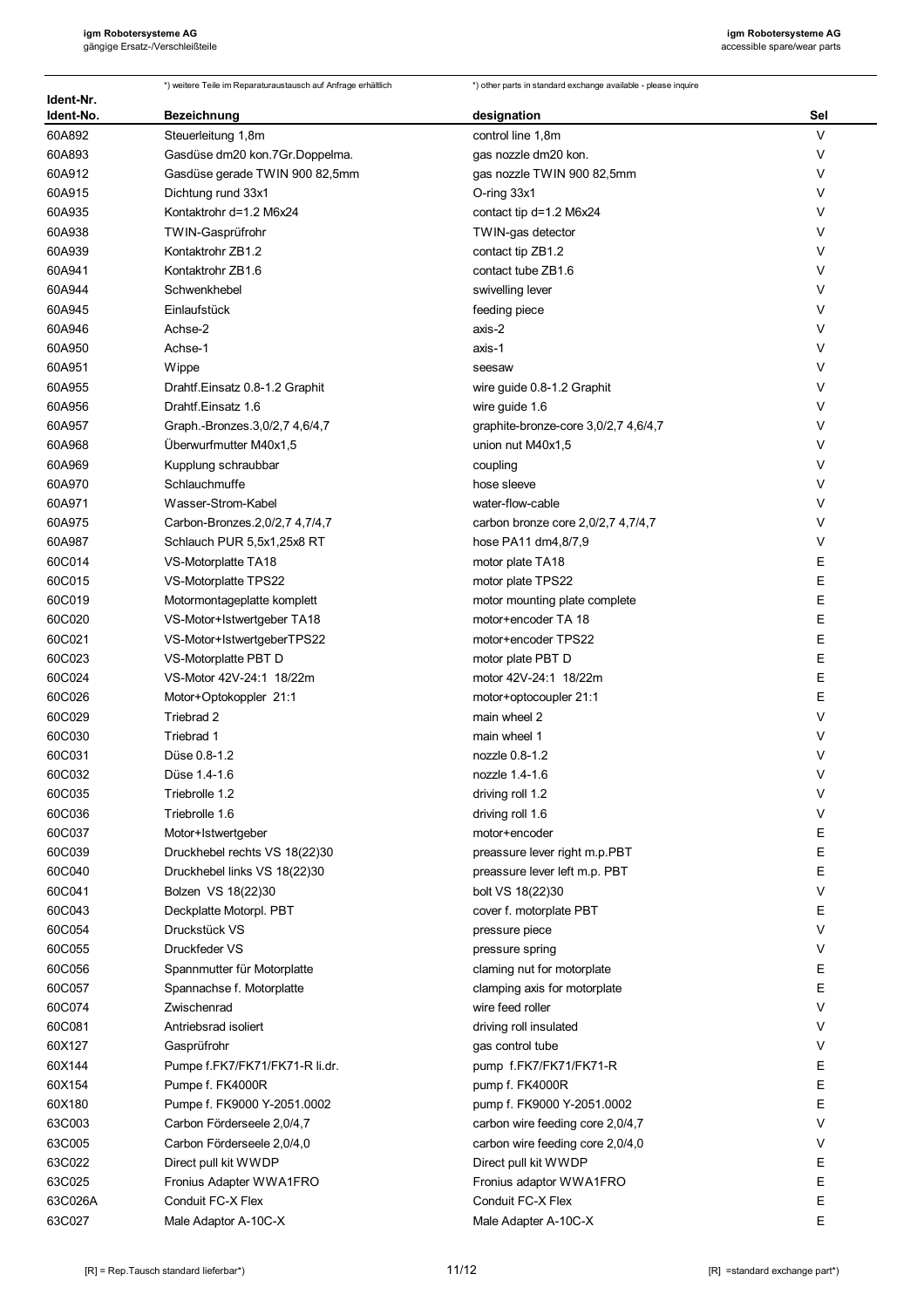| Ident-Nr. | *) weitere Teile im Reparaturaustausch auf Anfrage erhältlich | *) other parts in standard exchange available - please inquire |        |
|-----------|---------------------------------------------------------------|----------------------------------------------------------------|--------|
| Ident-No. | <b>Bezeichnung</b>                                            | designation                                                    | Sel    |
| 60A892    | Steuerleitung 1,8m                                            | control line 1,8m                                              | $\vee$ |
| 60A893    | Gasdüse dm20 kon.7Gr.Doppelma.                                | gas nozzle dm20 kon.                                           | V      |
| 60A912    | Gasdüse gerade TWIN 900 82,5mm                                | gas nozzle TWIN 900 82,5mm                                     | V      |
| 60A915    | Dichtung rund 33x1                                            | O-ring 33x1                                                    | V      |
| 60A935    | Kontaktrohr d=1.2 M6x24                                       | contact tip d=1.2 M6x24                                        | V      |
| 60A938    | TWIN-Gasprüfrohr                                              | TWIN-gas detector                                              | V      |
| 60A939    | Kontaktrohr ZB1.2                                             | contact tip ZB1.2                                              | V      |
| 60A941    | Kontaktrohr ZB1.6                                             | contact tube ZB1.6                                             | V      |
| 60A944    | Schwenkhebel                                                  | swivelling lever                                               | V      |
| 60A945    | Einlaufstück                                                  | feeding piece                                                  | V      |
| 60A946    | Achse-2                                                       | axis-2                                                         | V      |
| 60A950    | Achse-1                                                       | axis-1                                                         | V      |
| 60A951    | Wippe                                                         | seesaw                                                         | V      |
| 60A955    | Drahtf.Einsatz 0.8-1.2 Graphit                                | wire guide 0.8-1.2 Graphit                                     | V      |
| 60A956    | Drahtf Einsatz 1.6                                            | wire guide 1.6                                                 | V      |
| 60A957    | Graph.-Bronzes.3,0/2,7 4,6/4,7                                | graphite-bronze-core 3,0/2,7 4,6/4,7                           | V      |
| 60A968    | Überwurfmutter M40x1,5                                        | union nut M40x1,5                                              | V      |
| 60A969    | Kupplung schraubbar                                           | coupling                                                       | V      |
| 60A970    | Schlauchmuffe                                                 | hose sleeve                                                    | V      |
| 60A971    | Wasser-Strom-Kabel                                            | water-flow-cable                                               | V      |
| 60A975    | Carbon-Bronzes.2,0/2,7 4,7/4,7                                | carbon bronze core 2,0/2,7 4,7/4,7                             | V      |
| 60A987    | Schlauch PUR 5,5x1,25x8 RT                                    | hose PA11 dm4,8/7,9                                            | V      |
| 60C014    | VS-Motorplatte TA18                                           | motor plate TA18                                               | E      |
| 60C015    | VS-Motorplatte TPS22                                          | motor plate TPS22                                              | E      |
| 60C019    | Motormontageplatte komplett                                   | motor mounting plate complete                                  | E      |
| 60C020    | VS-Motor+Istwertgeber TA18                                    | motor+encoder TA 18                                            | E      |
| 60C021    | VS-Motor+IstwertgeberTPS22                                    | motor+encoder TPS22                                            | Ε      |
| 60C023    | VS-Motorplatte PBT D                                          | motor plate PBT D                                              | E      |
| 60C024    | VS-Motor 42V-24:1 18/22m                                      | motor 42V-24:1 18/22m                                          | E      |
| 60C026    | Motor+Optokoppler 21:1                                        | motor+optocoupler 21:1                                         | E      |
| 60C029    | Triebrad 2                                                    | main wheel 2                                                   | V      |
| 60C030    | Triebrad 1                                                    | main wheel 1                                                   | V      |
| 60C031    | Düse 0.8-1.2                                                  | nozzle 0.8-1.2                                                 | V      |
| 60C032    | Düse 1.4-1.6                                                  | nozzle 1.4-1.6                                                 | v      |
| 60C035    | Triebrolle 1.2                                                | driving roll 1.2                                               | V      |
| 60C036    | Triebrolle 1.6                                                | driving roll 1.6                                               | V      |
| 60C037    | Motor+Istwertgeber                                            | motor+encoder                                                  | Ε      |
| 60C039    | Druckhebel rechts VS 18(22)30                                 | preassure lever right m.p.PBT                                  | Ε      |
| 60C040    | Druckhebel links VS 18(22)30                                  | preassure lever left m.p. PBT                                  | Ε      |
| 60C041    | Bolzen VS 18(22)30                                            | bolt VS 18(22)30                                               | V      |
| 60C043    | Deckplatte Motorpl. PBT                                       | cover f. motorplate PBT                                        | E      |
| 60C054    | Druckstück VS                                                 | pressure piece                                                 | V      |
| 60C055    | Druckfeder VS                                                 | pressure spring                                                | V      |
| 60C056    | Spannmutter für Motorplatte                                   | claming nut for motorplate                                     | E      |
| 60C057    | Spannachse f. Motorplatte                                     | clamping axis for motorplate                                   | E      |
| 60C074    | Zwischenrad                                                   | wire feed roller                                               | V      |
| 60C081    | Antriebsrad isoliert                                          | driving roll insulated                                         | V      |
| 60X127    | Gasprüfrohr                                                   | gas control tube                                               | V      |
| 60X144    | Pumpe f.FK7/FK71/FK71-R li.dr.                                | pump f.FK7/FK71/FK71-R                                         | Е      |
| 60X154    | Pumpe f. FK4000R                                              | pump f. FK4000R                                                | Ε      |
| 60X180    | Pumpe f. FK9000 Y-2051.0002                                   | pump f. FK9000 Y-2051.0002                                     | E      |
| 63C003    | Carbon Förderseele 2,0/4,7                                    | carbon wire feeding core 2,0/4,7                               | V      |
| 63C005    | Carbon Förderseele 2,0/4,0                                    | carbon wire feeding core 2,0/4,0                               | V      |
| 63C022    | Direct pull kit WWDP                                          | Direct pull kit WWDP                                           | Ε      |
| 63C025    | Fronius Adapter WWA1FRO                                       | Fronius adaptor WWA1FRO                                        | E      |
| 63C026A   | Conduit FC-X Flex                                             | Conduit FC-X Flex                                              | Ε      |
| 63C027    | Male Adaptor A-10C-X                                          | Male Adapter A-10C-X                                           | E      |